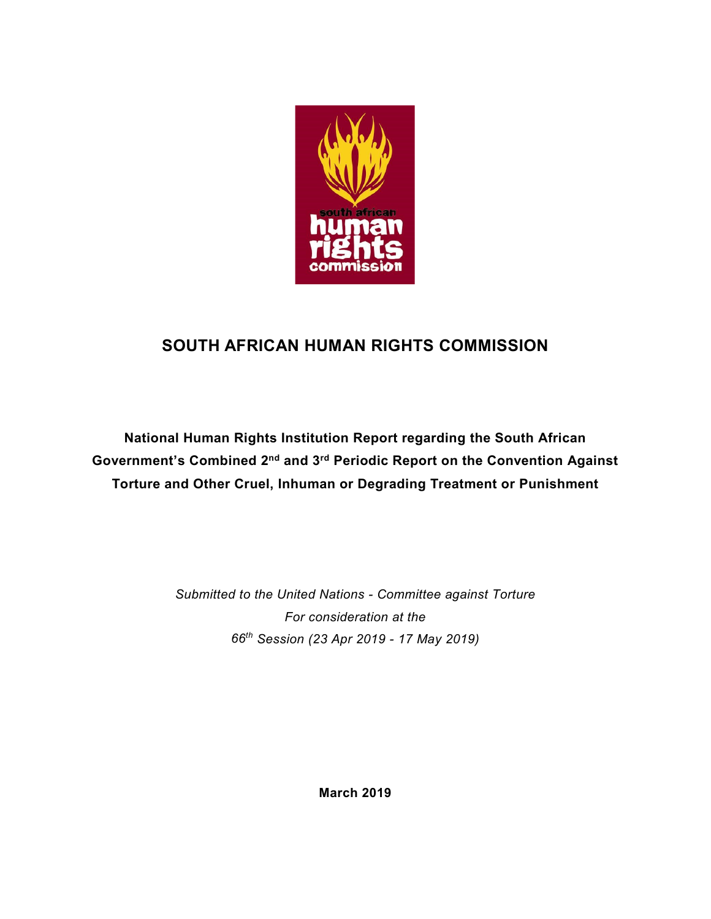

# **SOUTH AFRICAN HUMAN RIGHTS COMMISSION**

**National Human Rights Institution Report regarding the South African Government's Combined 2nd and 3rd Periodic Report on the Convention Against Torture and Other Cruel, Inhuman or Degrading Treatment or Punishment**

> *Submitted to the United Nations - Committee against Torture For consideration at the 66th Session (23 Apr 2019 - 17 May 2019)*

> > **March 2019**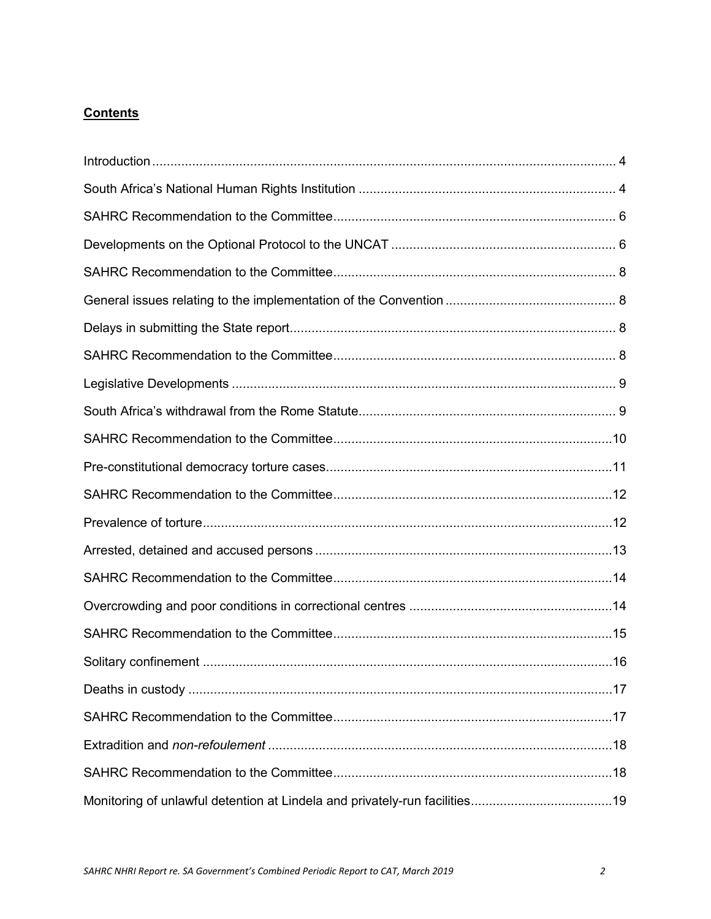# **Contents**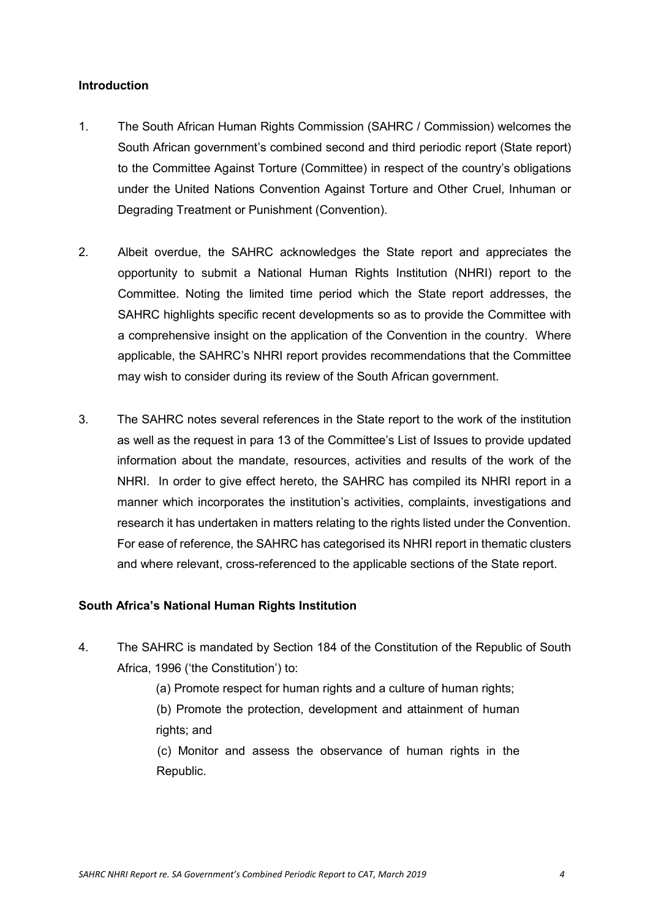## <span id="page-3-0"></span>**Introduction**

- 1. The South African Human Rights Commission (SAHRC / Commission) welcomes the South African government's combined second and third periodic report (State report) to the Committee Against Torture (Committee) in respect of the country's obligations under the United Nations Convention Against Torture and Other Cruel, Inhuman or Degrading Treatment or Punishment (Convention).
- 2. Albeit overdue, the SAHRC acknowledges the State report and appreciates the opportunity to submit a National Human Rights Institution (NHRI) report to the Committee. Noting the limited time period which the State report addresses, the SAHRC highlights specific recent developments so as to provide the Committee with a comprehensive insight on the application of the Convention in the country. Where applicable, the SAHRC's NHRI report provides recommendations that the Committee may wish to consider during its review of the South African government.
- 3. The SAHRC notes several references in the State report to the work of the institution as well as the request in para 13 of the Committee's List of Issues to provide updated information about the mandate, resources, activities and results of the work of the NHRI. In order to give effect hereto, the SAHRC has compiled its NHRI report in a manner which incorporates the institution's activities, complaints, investigations and research it has undertaken in matters relating to the rights listed under the Convention. For ease of reference, the SAHRC has categorised its NHRI report in thematic clusters and where relevant, cross-referenced to the applicable sections of the State report.

#### <span id="page-3-1"></span>**South Africa's National Human Rights Institution**

- 4. The SAHRC is mandated by Section 184 of the Constitution of the Republic of South Africa, 1996 ('the Constitution') to:
	- (a) Promote respect for human rights and a culture of human rights;

(b) Promote the protection, development and attainment of human rights; and

(c) Monitor and assess the observance of human rights in the Republic.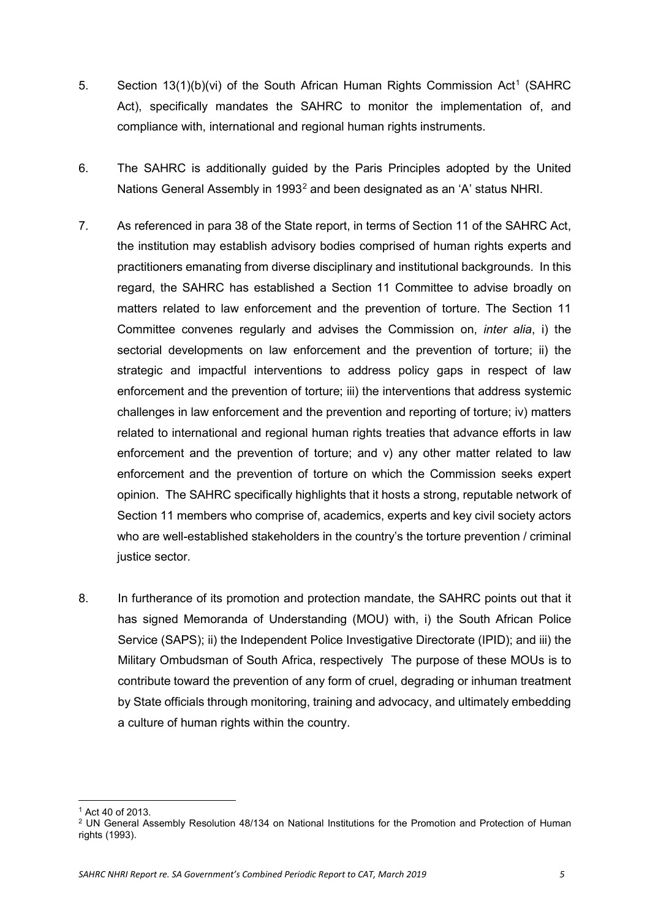- 5. Section [1](#page-4-0)3(1)(b)(vi) of the South African Human Rights Commission Act<sup>1</sup> (SAHRC Act), specifically mandates the SAHRC to monitor the implementation of, and compliance with, international and regional human rights instruments.
- 6. The SAHRC is additionally guided by the Paris Principles adopted by the United Nations General Assembly in 1993<sup>[2](#page-4-1)</sup> and been designated as an 'A' status NHRI.
- 7. As referenced in para 38 of the State report, in terms of Section 11 of the SAHRC Act, the institution may establish advisory bodies comprised of human rights experts and practitioners emanating from diverse disciplinary and institutional backgrounds. In this regard, the SAHRC has established a Section 11 Committee to advise broadly on matters related to law enforcement and the prevention of torture. The Section 11 Committee convenes regularly and advises the Commission on, *inter alia*, i) the sectorial developments on law enforcement and the prevention of torture; ii) the strategic and impactful interventions to address policy gaps in respect of law enforcement and the prevention of torture; iii) the interventions that address systemic challenges in law enforcement and the prevention and reporting of torture; iv) matters related to international and regional human rights treaties that advance efforts in law enforcement and the prevention of torture; and v) any other matter related to law enforcement and the prevention of torture on which the Commission seeks expert opinion. The SAHRC specifically highlights that it hosts a strong, reputable network of Section 11 members who comprise of, academics, experts and key civil society actors who are well-established stakeholders in the country's the torture prevention / criminal justice sector.
- 8. In furtherance of its promotion and protection mandate, the SAHRC points out that it has signed Memoranda of Understanding (MOU) with, i) the South African Police Service (SAPS); ii) the Independent Police Investigative Directorate (IPID); and iii) the Military Ombudsman of South Africa, respectively The purpose of these MOUs is to contribute toward the prevention of any form of cruel, degrading or inhuman treatment by State officials through monitoring, training and advocacy, and ultimately embedding a culture of human rights within the country.

**<sup>.</sup>** <sup>1</sup> Act 40 of 2013.

<span id="page-4-1"></span><span id="page-4-0"></span><sup>2</sup> UN General Assembly Resolution 48/134 on National Institutions for the Promotion and Protection of Human rights (1993).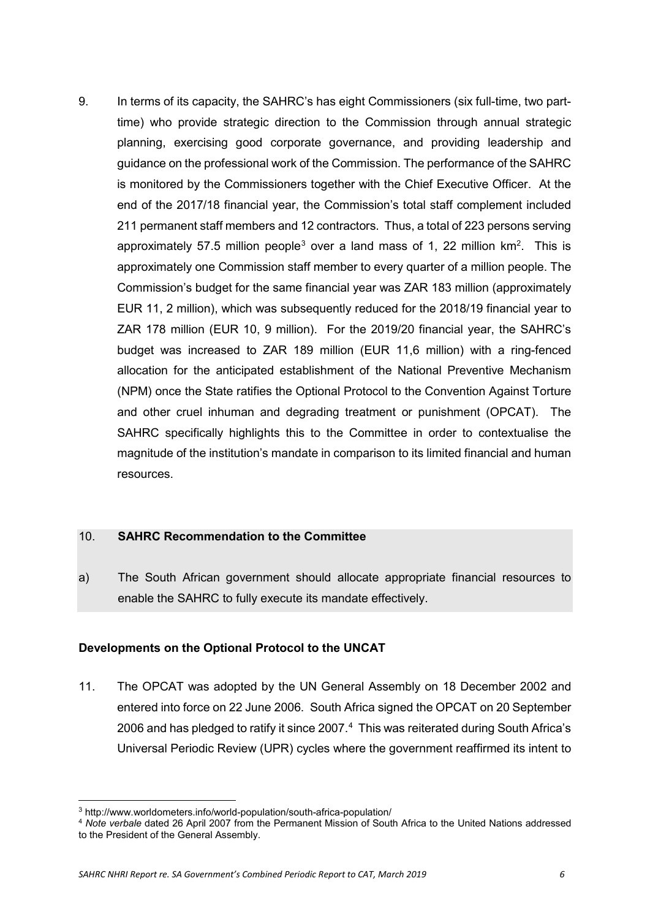9. In terms of its capacity, the SAHRC's has eight Commissioners (six full-time, two parttime) who provide strategic direction to the Commission through annual strategic planning, exercising good corporate governance, and providing leadership and guidance on the professional work of the Commission. The performance of the SAHRC is monitored by the Commissioners together with the Chief Executive Officer. At the end of the 2017/18 financial year, the Commission's total staff complement included 211 permanent staff members and 12 contractors. Thus, a total of 223 persons serving approximately 57.5 million people<sup>[3](#page-5-2)</sup> over a land mass of 1, 22 million  $km^2$ . This is approximately one Commission staff member to every quarter of a million people. The Commission's budget for the same financial year was ZAR 183 million (approximately EUR 11, 2 million), which was subsequently reduced for the 2018/19 financial year to ZAR 178 million (EUR 10, 9 million). For the 2019/20 financial year, the SAHRC's budget was increased to ZAR 189 million (EUR 11,6 million) with a ring-fenced allocation for the anticipated establishment of the National Preventive Mechanism (NPM) once the State ratifies the Optional Protocol to the Convention Against Torture and other cruel inhuman and degrading treatment or punishment (OPCAT). The SAHRC specifically highlights this to the Committee in order to contextualise the magnitude of the institution's mandate in comparison to its limited financial and human resources.

#### <span id="page-5-0"></span>10. **SAHRC Recommendation to the Committee**

<span id="page-5-1"></span>a) The South African government should allocate appropriate financial resources to enable the SAHRC to fully execute its mandate effectively.

## **Developments on the Optional Protocol to the UNCAT**

11. The OPCAT was adopted by the UN General Assembly on 18 December 2002 and entered into force on 22 June 2006. South Africa signed the OPCAT on 20 September 2006 and has pledged to ratify it since 2007. $4$  This was reiterated during South Africa's Universal Periodic Review (UPR) cycles where the government reaffirmed its intent to

**.** 

<span id="page-5-2"></span><sup>3</sup> <http://www.worldometers.info/world-population/south-africa-population/>

<span id="page-5-3"></span><sup>4</sup> *Note verbale* dated 26 April 2007 from the Permanent Mission of South Africa to the United Nations addressed to the President of the General Assembly.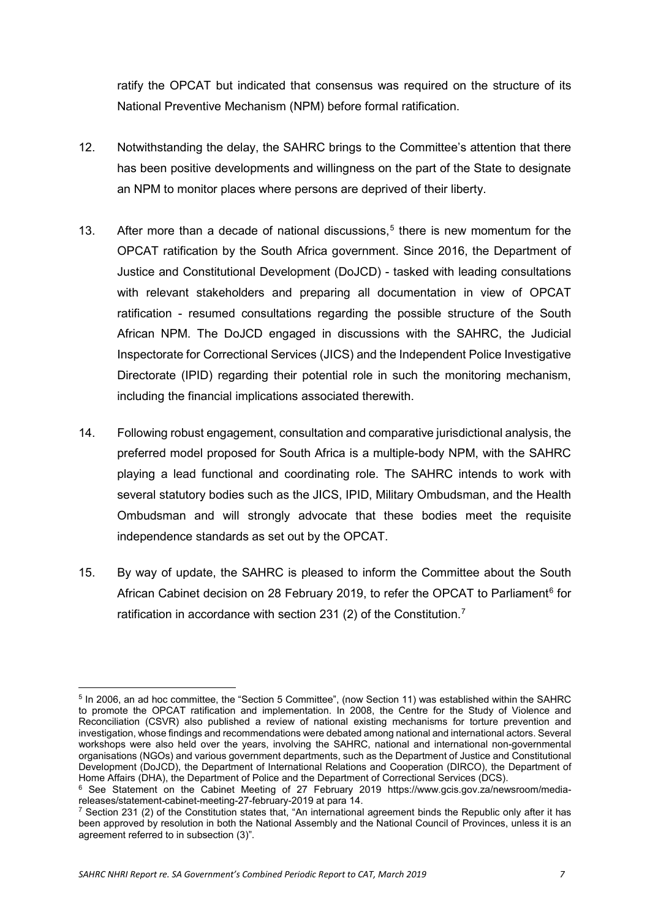ratify the OPCAT but indicated that consensus was required on the structure of its National Preventive Mechanism (NPM) before formal ratification.

- 12. Notwithstanding the delay, the SAHRC brings to the Committee's attention that there has been positive developments and willingness on the part of the State to designate an NPM to monitor places where persons are deprived of their liberty.
- 13. After more than a decade of national discussions,<sup>[5](#page-6-0)</sup> there is new momentum for the OPCAT ratification by the South Africa government. Since 2016, the Department of Justice and Constitutional Development (DoJCD) - tasked with leading consultations with relevant stakeholders and preparing all documentation in view of OPCAT ratification - resumed consultations regarding the possible structure of the South African NPM. The DoJCD engaged in discussions with the SAHRC, the Judicial Inspectorate for Correctional Services (JICS) and the Independent Police Investigative Directorate (IPID) regarding their potential role in such the monitoring mechanism, including the financial implications associated therewith.
- 14. Following robust engagement, consultation and comparative jurisdictional analysis, the preferred model proposed for South Africa is a multiple-body NPM, with the SAHRC playing a lead functional and coordinating role. The SAHRC intends to work with several statutory bodies such as the JICS, IPID, Military Ombudsman, and the Health Ombudsman and will strongly advocate that these bodies meet the requisite independence standards as set out by the OPCAT.
- 15. By way of update, the SAHRC is pleased to inform the Committee about the South African Cabinet decision on 28 February 2019, to refer the OPCAT to Parliament<sup>[6](#page-6-1)</sup> for ratification in accordance with section 231 (2) of the Constitution.<sup>[7](#page-6-2)</sup>

<span id="page-6-0"></span>**<sup>.</sup>** <sup>5</sup> In 2006, an ad hoc committee, the "Section 5 Committee", (now Section 11) was established within the SAHRC to promote the OPCAT ratification and implementation. In 2008, the Centre for the Study of Violence and Reconciliation (CSVR) also published a review of national existing mechanisms for torture prevention and investigation, whose findings and recommendations were debated among national and international actors. Several workshops were also held over the years, involving the SAHRC, national and international non-governmental organisations (NGOs) and various government departments, such as the Department of Justice and Constitutional Development (DoJCD), the Department of International Relations and Cooperation (DIRCO), the Department of Home Affairs (DHA), the Department of Police and the Department of Correctional Services (DCS).

<span id="page-6-1"></span><sup>&</sup>lt;sup>6</sup> See Statement on the Cabinet Meeting of 27 February 2019 https://www.gcis.gov.za/newsroom/media-<br>releases/statement-cabinet-meeting-27-february-2019 at para 14.

<span id="page-6-2"></span><sup>&</sup>lt;sup>7</sup> Section 231 (2) of the Constitution states that, "An international agreement binds the Republic only after it has been approved by resolution in both the National Assembly and the National Council of Provinces, unless it is an agreement referred to in subsection (3)".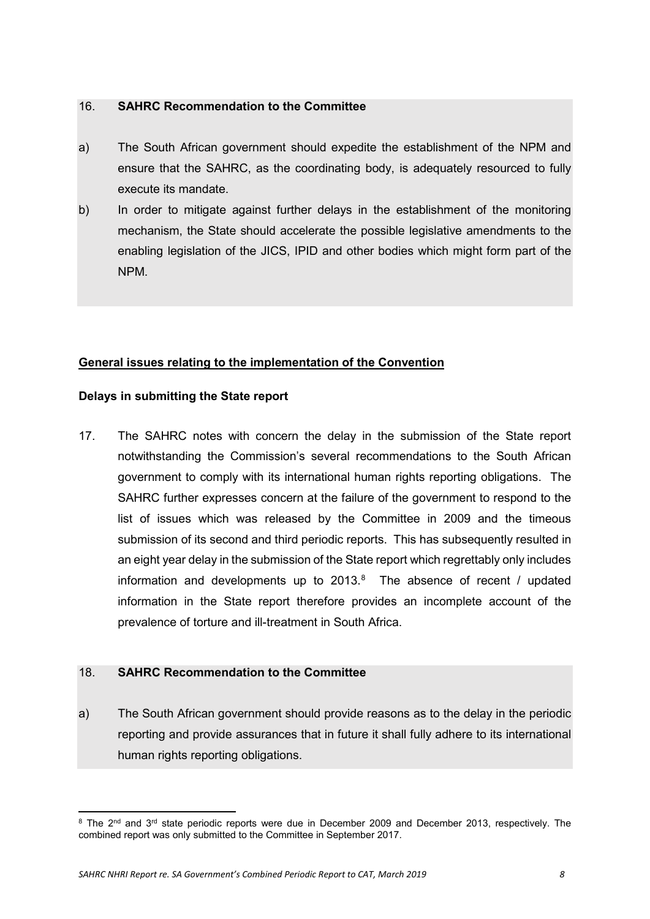- <span id="page-7-0"></span>a) The South African government should expedite the establishment of the NPM and ensure that the SAHRC, as the coordinating body, is adequately resourced to fully execute its mandate.
- b) In order to mitigate against further delays in the establishment of the monitoring mechanism, the State should accelerate the possible legislative amendments to the enabling legislation of the JICS, IPID and other bodies which might form part of the NPM.

## <span id="page-7-2"></span><span id="page-7-1"></span>**General issues relating to the implementation of the Convention**

## **Delays in submitting the State report**

17. The SAHRC notes with concern the delay in the submission of the State report notwithstanding the Commission's several recommendations to the South African government to comply with its international human rights reporting obligations. The SAHRC further expresses concern at the failure of the government to respond to the list of issues which was released by the Committee in 2009 and the timeous submission of its second and third periodic reports. This has subsequently resulted in an eight year delay in the submission of the State report which regrettably only includes information and developments up to 2013. $8$  The absence of recent / updated information in the State report therefore provides an incomplete account of the prevalence of torture and ill-treatment in South Africa.

## <span id="page-7-3"></span>18. **SAHRC Recommendation to the Committee**

a) The South African government should provide reasons as to the delay in the periodic reporting and provide assurances that in future it shall fully adhere to its international human rights reporting obligations.

<span id="page-7-4"></span> $\overline{a}$  $8$  The 2<sup>nd</sup> and 3<sup>rd</sup> state periodic reports were due in December 2009 and December 2013, respectively. The combined report was only submitted to the Committee in September 2017.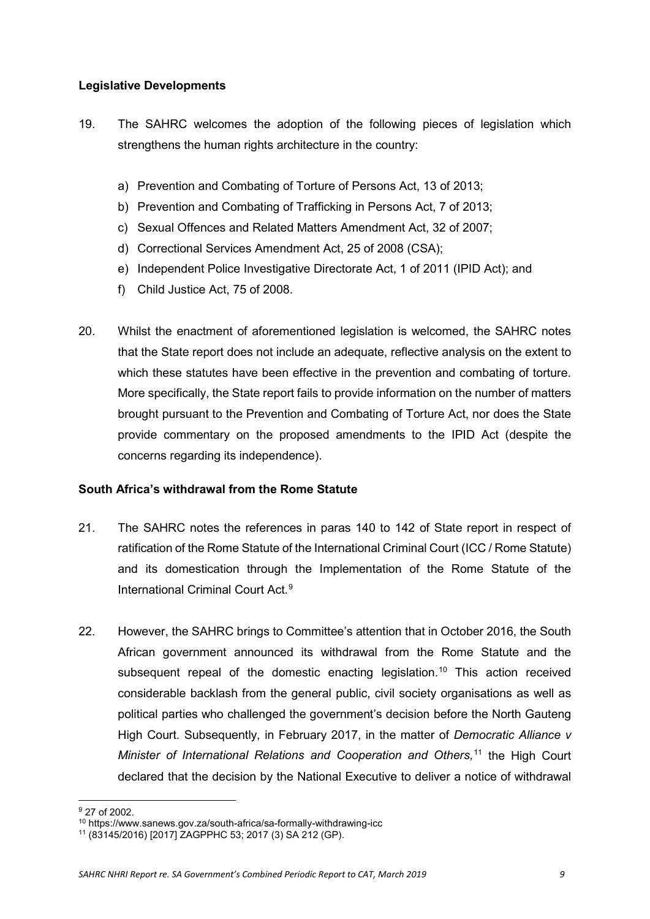## <span id="page-8-0"></span>**Legislative Developments**

- 19. The SAHRC welcomes the adoption of the following pieces of legislation which strengthens the human rights architecture in the country:
	- a) Prevention and Combating of Torture of Persons Act, 13 of 2013;
	- b) Prevention and Combating of Trafficking in Persons Act, 7 of 2013;
	- c) Sexual Offences and Related Matters Amendment Act, 32 of 2007;
	- d) Correctional Services Amendment Act, 25 of 2008 (CSA);
	- e) Independent Police Investigative Directorate Act, 1 of 2011 (IPID Act); and
	- f) Child Justice Act, 75 of 2008.
- 20. Whilst the enactment of aforementioned legislation is welcomed, the SAHRC notes that the State report does not include an adequate, reflective analysis on the extent to which these statutes have been effective in the prevention and combating of torture. More specifically, the State report fails to provide information on the number of matters brought pursuant to the Prevention and Combating of Torture Act, nor does the State provide commentary on the proposed amendments to the IPID Act (despite the concerns regarding its independence).

## <span id="page-8-1"></span>**South Africa's withdrawal from the Rome Statute**

- 21. The SAHRC notes the references in paras 140 to 142 of State report in respect of ratification of the Rome Statute of the International Criminal Court (ICC / Rome Statute) and its domestication through the Implementation of the Rome Statute of the International Criminal Court Act.[9](#page-8-2)
- 22. However, the SAHRC brings to Committee's attention that in October 2016, the South African government announced its withdrawal from the Rome Statute and the subsequent repeal of the domestic enacting legislation. [10](#page-8-3) This action received considerable backlash from the general public, civil society organisations as well as political parties who challenged the government's decision before the North Gauteng High Court. Subsequently, in February 2017, in the matter of *Democratic Alliance v*  Minister of International Relations and Cooperation and Others,<sup>[11](#page-8-4)</sup> the High Court declared that the decision by the National Executive to deliver a notice of withdrawal

**.** 

<span id="page-8-3"></span><span id="page-8-2"></span><sup>9</sup> 27 of 2002.

<sup>10</sup> <https://www.sanews.gov.za/south-africa/sa-formally-withdrawing-icc>

<span id="page-8-4"></span><sup>11</sup> (83145/2016) [2017] ZAGPPHC 53; 2017 (3) SA 212 (GP).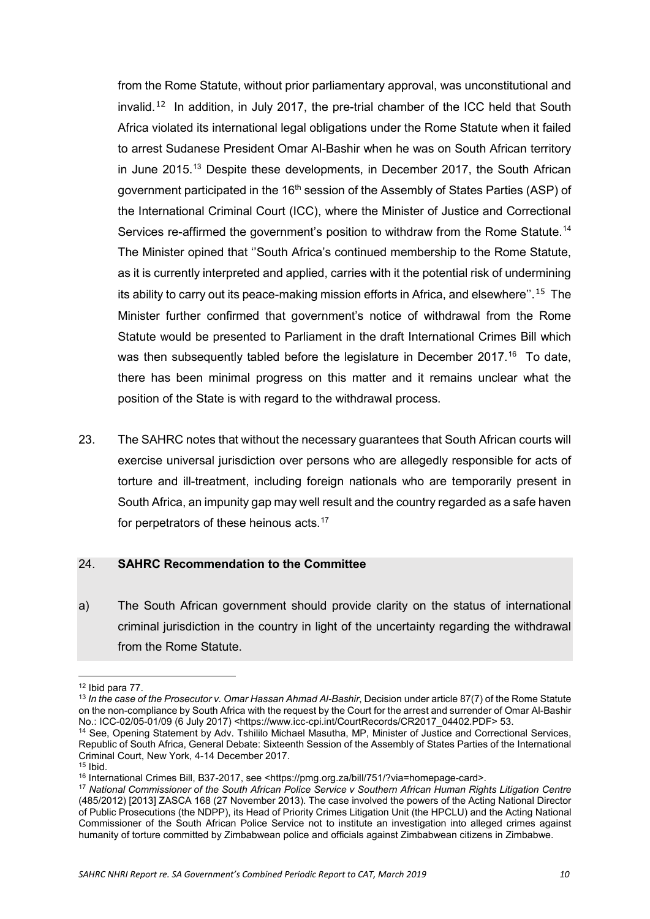from the Rome Statute, without prior parliamentary approval, was unconstitutional and invalid.<sup>[12](#page-9-1)</sup> In addition, in July 2017, the pre-trial chamber of the ICC held that South Africa violated its international legal obligations under the Rome Statute when it failed to arrest Sudanese President Omar Al-Bashir when he was on South African territory in June 2015.[13](#page-9-2) Despite these developments, in December 2017, the South African government participated in the 16<sup>th</sup> session of the Assembly of States Parties (ASP) of the International Criminal Court (ICC), where the Minister of Justice and Correctional Services re-affirmed the government's position to withdraw from the Rome Statute.<sup>[14](#page-9-3)</sup> The Minister opined that ''South Africa's continued membership to the Rome Statute, as it is currently interpreted and applied, carries with it the potential risk of undermining its ability to carry out its peace-making mission efforts in Africa, and elsewhere''. [15](#page-9-4) The Minister further confirmed that government's notice of withdrawal from the Rome Statute would be presented to Parliament in the draft International Crimes Bill which was then subsequently tabled before the legislature in December 2017.<sup>[16](#page-9-5)</sup> To date, there has been minimal progress on this matter and it remains unclear what the position of the State is with regard to the withdrawal process.

23. The SAHRC notes that without the necessary guarantees that South African courts will exercise universal jurisdiction over persons who are allegedly responsible for acts of torture and ill-treatment, including foreign nationals who are temporarily present in South Africa, an impunity gap may well result and the country regarded as a safe haven for perpetrators of these heinous acts.<sup>[17](#page-9-6)</sup>

#### <span id="page-9-0"></span>24. **SAHRC Recommendation to the Committee**

a) The South African government should provide clarity on the status of international criminal jurisdiction in the country in light of the uncertainty regarding the withdrawal from the Rome Statute.

 $\overline{a}$ 

<span id="page-9-2"></span><span id="page-9-1"></span><sup>&</sup>lt;sup>12</sup> Ibid para 77.<br><sup>13</sup> In the case of the Prosecutor v. Omar Hassan Ahmad Al-Bashir, Decision under article 87(7) of the Rome Statute on the non-compliance by South Africa with the request by the Court for the arrest and surrender of Omar Al-Bashir No.: ICC-02/05-01/09 (6 July 2017) <https://www.icc-cpi.int/CourtRecords/CR2017\_04402.PDF> 53.

<span id="page-9-3"></span><sup>14</sup> See, Opening Statement by Adv. Tshililo Michael Masutha, MP, Minister of Justice and Correctional Services, Republic of South Africa, General Debate: Sixteenth Session of the Assembly of States Parties of the International Criminal Court, New York, 4-14 December 2017.

<span id="page-9-6"></span><span id="page-9-5"></span><span id="page-9-4"></span><sup>&</sup>lt;sup>16</sup> International Crimes Bill, B37-2017, see <https://pmg.org.za/bill/751/?via=homepage-card>.

<sup>17</sup> *National Commissioner of the South African Police Service v Southern African Human Rights Litigation Centre* (485/2012) [2013] ZASCA 168 (27 November 2013). The case involved the powers of the Acting National Director of Public Prosecutions (the NDPP), its Head of Priority Crimes Litigation Unit (the HPCLU) and the Acting National Commissioner of the South African Police Service not to institute an investigation into alleged crimes against humanity of torture committed by Zimbabwean police and officials against Zimbabwean citizens in Zimbabwe.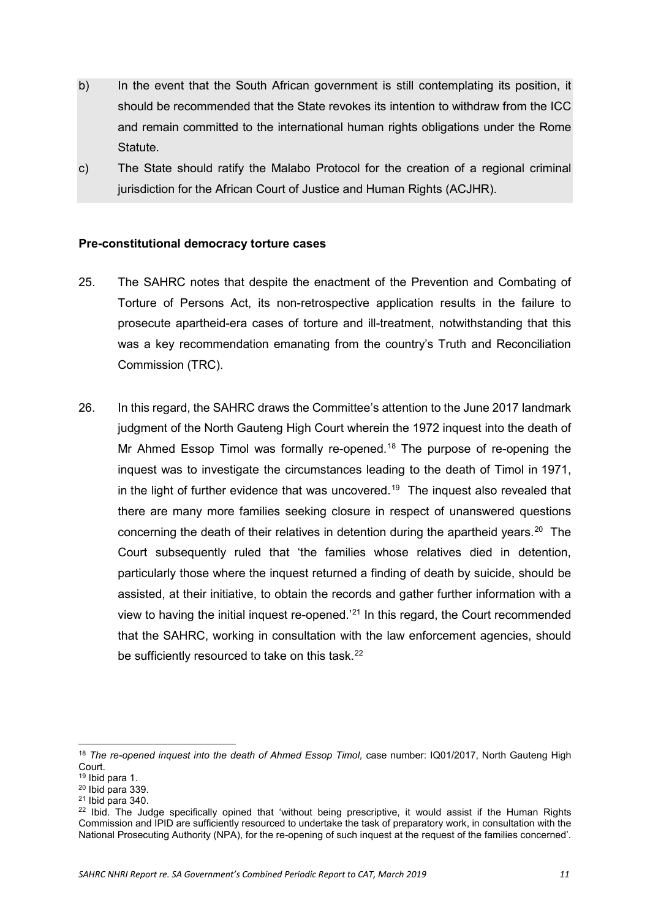- b) In the event that the South African government is still contemplating its position, it should be recommended that the State revokes its intention to withdraw from the ICC and remain committed to the international human rights obligations under the Rome Statute.
- <span id="page-10-0"></span>c) The State should ratify the Malabo Protocol for the creation of a regional criminal jurisdiction for the African Court of Justice and Human Rights (ACJHR).

## **Pre-constitutional democracy torture cases**

- 25. The SAHRC notes that despite the enactment of the Prevention and Combating of Torture of Persons Act, its non-retrospective application results in the failure to prosecute apartheid-era cases of torture and ill-treatment, notwithstanding that this was a key recommendation emanating from the country's Truth and Reconciliation Commission (TRC).
- 26. In this regard, the SAHRC draws the Committee's attention to the June 2017 landmark judgment of the North Gauteng High Court wherein the 1972 inquest into the death of Mr Ahmed Essop Timol was formally re-opened.<sup>[18](#page-10-1)</sup> The purpose of re-opening the inquest was to investigate the circumstances leading to the death of Timol in 1971, in the light of further evidence that was uncovered.<sup>[19](#page-10-2)</sup> The inquest also revealed that there are many more families seeking closure in respect of unanswered questions concerning the death of their relatives in detention during the apartheid years.<sup>[20](#page-10-3)</sup> The Court subsequently ruled that 'the families whose relatives died in detention, particularly those where the inquest returned a finding of death by suicide, should be assisted, at their initiative, to obtain the records and gather further information with a view to having the initial inquest re-opened.'[21](#page-10-4) In this regard, the Court recommended that the SAHRC, working in consultation with the law enforcement agencies, should be sufficiently resourced to take on this task.<sup>22</sup>

**.** 

<span id="page-10-1"></span><sup>&</sup>lt;sup>18</sup> The re-opened inquest into the death of Ahmed Essop Timol, case number: IQ01/2017, North Gauteng High Court.

<sup>19</sup> Ibid para 1.

<span id="page-10-3"></span><span id="page-10-2"></span> $20$  Ibid para 339.

<span id="page-10-4"></span> $21$  Ibid para 340.

<span id="page-10-5"></span> $22$  Ibid. The Judge specifically opined that 'without being prescriptive, it would assist if the Human Rights Commission and IPID are sufficiently resourced to undertake the task of preparatory work, in consultation with the National Prosecuting Authority (NPA), for the re-opening of such inquest at the request of the families concerned'*.*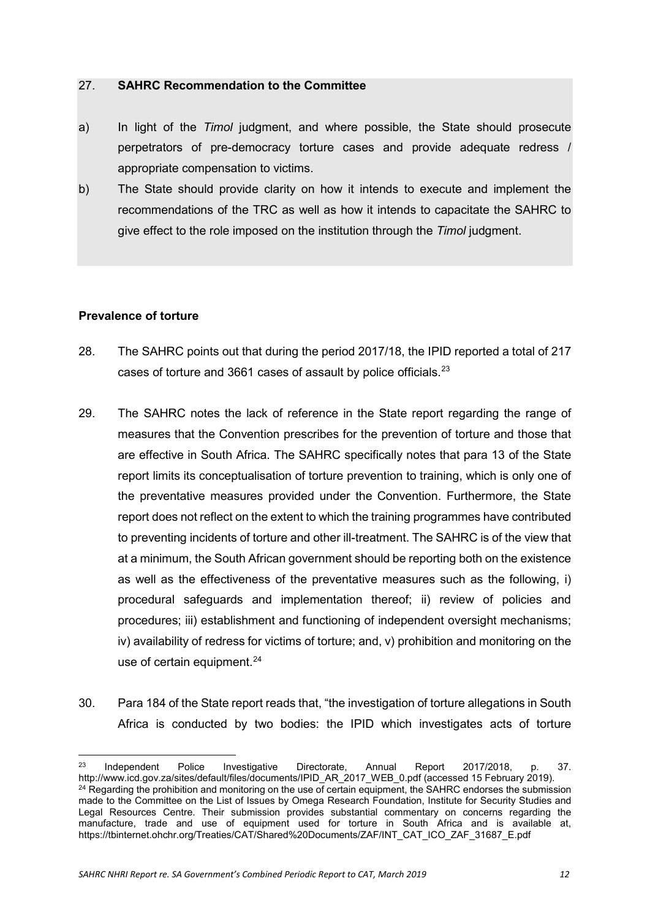- <span id="page-11-0"></span>a) In light of the *Timol* judgment, and where possible, the State should prosecute perpetrators of pre-democracy torture cases and provide adequate redress / appropriate compensation to victims.
- <span id="page-11-1"></span>b) The State should provide clarity on how it intends to execute and implement the recommendations of the TRC as well as how it intends to capacitate the SAHRC to give effect to the role imposed on the institution through the *Timol* judgment.

#### **Prevalence of torture**

- 28. The SAHRC points out that during the period 2017/18, the IPID reported a total of 217 cases of torture and 3661 cases of assault by police officials.[23](#page-11-2)
- 29. The SAHRC notes the lack of reference in the State report regarding the range of measures that the Convention prescribes for the prevention of torture and those that are effective in South Africa. The SAHRC specifically notes that para 13 of the State report limits its conceptualisation of torture prevention to training, which is only one of the preventative measures provided under the Convention. Furthermore, the State report does not reflect on the extent to which the training programmes have contributed to preventing incidents of torture and other ill-treatment. The SAHRC is of the view that at a minimum, the South African government should be reporting both on the existence as well as the effectiveness of the preventative measures such as the following, i) procedural safeguards and implementation thereof; ii) review of policies and procedures; iii) establishment and functioning of independent oversight mechanisms; iv) availability of redress for victims of torture; and, v) prohibition and monitoring on the use of certain equipment.<sup>[24](#page-11-3)</sup>
- 30. Para 184 of the State report reads that, "the investigation of torture allegations in South Africa is conducted by two bodies: the IPID which investigates acts of torture

<span id="page-11-3"></span><span id="page-11-2"></span> $23$ <sup>23</sup> Independent Police Investigative Directorate, Annual Report 2017/2018, p. 37. [http://www.icd.gov.za/sites/default/files/documents/IPID\\_AR\\_2017\\_WEB\\_0.pdf](http://www.icd.gov.za/sites/default/files/documents/IPID_AR_2017_WEB_0.pdf) (accessed 15 February 2019). <sup>24</sup> Regarding the prohibition and monitoring on the use of certain equipment, the SAHRC endorses the submission made to the Committee on the List of Issues by Omega Research Foundation, Institute for Security Studies and Legal Resources Centre. Their submission provides substantial commentary on concerns regarding the manufacture, trade and use of equipment used for torture in South Africa and is available at, [https://tbinternet.ohchr.org/Treaties/CAT/Shared%20Documents/ZAF/INT\\_CAT\\_ICO\\_ZAF\\_31687\\_E.pdf](https://tbinternet.ohchr.org/Treaties/CAT/Shared%20Documents/ZAF/INT_CAT_ICO_ZAF_31687_E.pdf)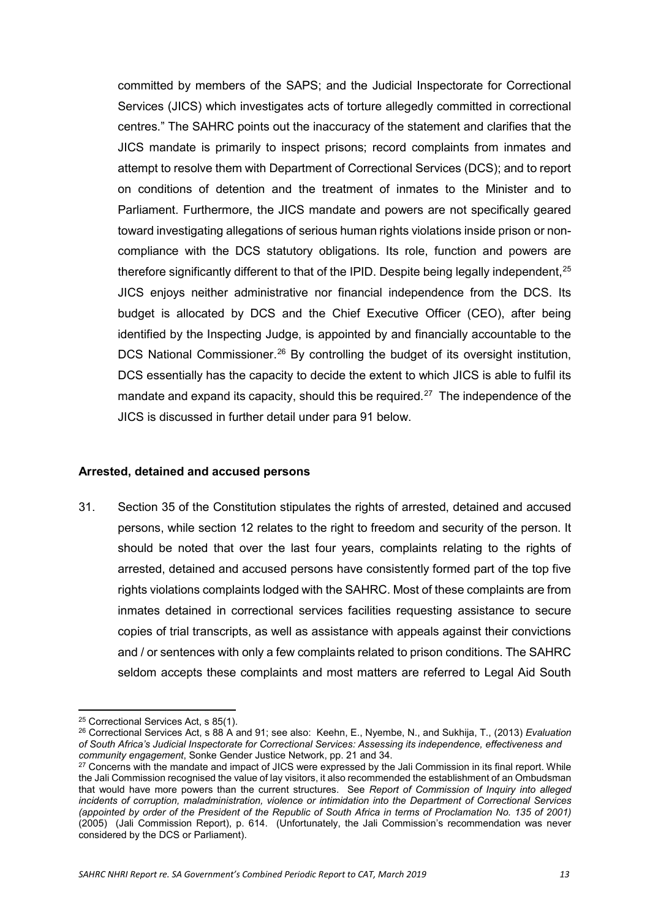committed by members of the SAPS; and the Judicial Inspectorate for Correctional Services (JICS) which investigates acts of torture allegedly committed in correctional centres." The SAHRC points out the inaccuracy of the statement and clarifies that the JICS mandate is primarily to inspect prisons; record complaints from inmates and attempt to resolve them with Department of Correctional Services (DCS); and to report on conditions of detention and the treatment of inmates to the Minister and to Parliament. Furthermore, the JICS mandate and powers are not specifically geared toward investigating allegations of serious human rights violations inside prison or noncompliance with the DCS statutory obligations. Its role, function and powers are therefore significantly different to that of the IPID. Despite being legally independent,  $25$ JICS enjoys neither administrative nor financial independence from the DCS. Its budget is allocated by DCS and the Chief Executive Officer (CEO), after being identified by the Inspecting Judge, is appointed by and financially accountable to the DCS National Commissioner.<sup>[26](#page-12-2)</sup> By controlling the budget of its oversight institution, DCS essentially has the capacity to decide the extent to which JICS is able to fulfil its mandate and expand its capacity, should this be required.<sup>[27](#page-12-3)</sup> The independence of the JICS is discussed in further detail under para 91 below.

#### <span id="page-12-0"></span>**Arrested, detained and accused persons**

31. Section 35 of the Constitution stipulates the rights of arrested, detained and accused persons, while section 12 relates to the right to freedom and security of the person. It should be noted that over the last four years, complaints relating to the rights of arrested, detained and accused persons have consistently formed part of the top five rights violations complaints lodged with the SAHRC. Most of these complaints are from inmates detained in correctional services facilities requesting assistance to secure copies of trial transcripts, as well as assistance with appeals against their convictions and / or sentences with only a few complaints related to prison conditions. The SAHRC seldom accepts these complaints and most matters are referred to Legal Aid South

**<sup>.</sup>** <sup>25</sup> Correctional Services Act, s 85(1).

<span id="page-12-2"></span><span id="page-12-1"></span><sup>26</sup> Correctional Services Act, s 88 A and 91; see also: Keehn, E., Nyembe, N., and Sukhija, T., (2013) *Evaluation of South Africa's Judicial Inspectorate for Correctional Services: Assessing its independence, effectiveness and community engagement*, Sonke Gender Justice Network, pp. 21 and 34.

<span id="page-12-3"></span> $27$  Concerns with the mandate and impact of JICS were expressed by the Jali Commission in its final report. While the Jali Commission recognised the value of lay visitors, it also recommended the establishment of an Ombudsman that would have more powers than the current structures. See *Report of Commission of Inquiry into alleged incidents of corruption, maladministration, violence or intimidation into the Department of Correctional Services (appointed by order of the President of the Republic of South Africa in terms of Proclamation No. 135 of 2001)* (2005) (Jali Commission Report), p. 614. (Unfortunately, the Jali Commission's recommendation was never considered by the DCS or Parliament).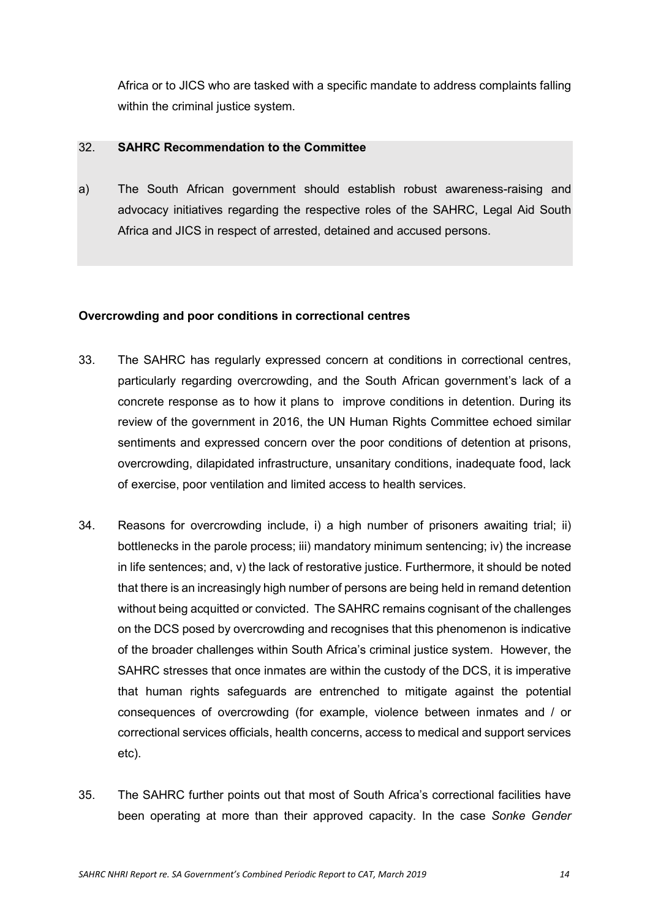<span id="page-13-0"></span>Africa or to JICS who are tasked with a specific mandate to address complaints falling within the criminal justice system.

#### 32. **SAHRC Recommendation to the Committee**

<span id="page-13-1"></span>a) The South African government should establish robust awareness-raising and advocacy initiatives regarding the respective roles of the SAHRC, Legal Aid South Africa and JICS in respect of arrested, detained and accused persons.

#### **Overcrowding and poor conditions in correctional centres**

- 33. The SAHRC has regularly expressed concern at conditions in correctional centres, particularly regarding overcrowding, and the South African government's lack of a concrete response as to how it plans to improve conditions in detention. During its review of the government in 2016, the UN Human Rights Committee echoed similar sentiments and expressed concern over the poor conditions of detention at prisons, overcrowding, dilapidated infrastructure, unsanitary conditions, inadequate food, lack of exercise, poor ventilation and limited access to health services.
- 34. Reasons for overcrowding include, i) a high number of prisoners awaiting trial; ii) bottlenecks in the parole process; iii) mandatory minimum sentencing; iv) the increase in life sentences; and, v) the lack of restorative justice. Furthermore, it should be noted that there is an increasingly high number of persons are being held in remand detention without being acquitted or convicted. The SAHRC remains cognisant of the challenges on the DCS posed by overcrowding and recognises that this phenomenon is indicative of the broader challenges within South Africa's criminal justice system. However, the SAHRC stresses that once inmates are within the custody of the DCS, it is imperative that human rights safeguards are entrenched to mitigate against the potential consequences of overcrowding (for example, violence between inmates and / or correctional services officials, health concerns, access to medical and support services etc).
- 35. The SAHRC further points out that most of South Africa's correctional facilities have been operating at more than their approved capacity. In the case *Sonke Gender*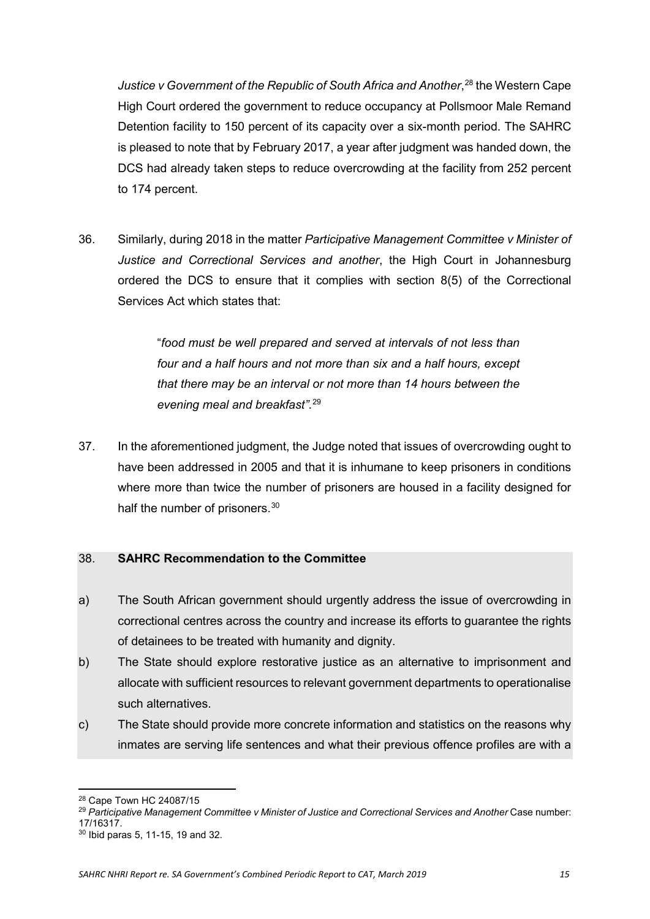*Justice v Government of the Republic of South Africa and Another*, [28](#page-14-1) the Western Cape High Court ordered the government to reduce occupancy at Pollsmoor Male Remand Detention facility to 150 percent of its capacity over a six-month period. The SAHRC is pleased to note that by February 2017, a year after judgment was handed down, the DCS had already taken steps to reduce overcrowding at the facility from 252 percent to 174 percent.

36. Similarly, during 2018 in the matter *Participative Management Committee v Minister of Justice and Correctional Services and another*, the High Court in Johannesburg ordered the DCS to ensure that it complies with section 8(5) of the Correctional Services Act which states that:

> "*food must be well prepared and served at intervals of not less than four and a half hours and not more than six and a half hours, except that there may be an interval or not more than 14 hours between the evening meal and breakfast"*. [29](#page-14-2)

37. In the aforementioned judgment, the Judge noted that issues of overcrowding ought to have been addressed in 2005 and that it is inhumane to keep prisoners in conditions where more than twice the number of prisoners are housed in a facility designed for half the number of prisoners.<sup>[30](#page-14-3)</sup>

## <span id="page-14-0"></span>38. **SAHRC Recommendation to the Committee**

- a) The South African government should urgently address the issue of overcrowding in correctional centres across the country and increase its efforts to guarantee the rights of detainees to be treated with humanity and dignity.
- b) The State should explore restorative justice as an alternative to imprisonment and allocate with sufficient resources to relevant government departments to operationalise such alternatives.
- c) The State should provide more concrete information and statistics on the reasons why inmates are serving life sentences and what their previous offence profiles are with a

<span id="page-14-2"></span><span id="page-14-1"></span><sup>29</sup> *Participative Management Committee v Minister of Justice and Correctional Services and Another* Case number: 17/16317.

 $\overline{a}$ <sup>28</sup> Cape Town HC 24087/15

<span id="page-14-3"></span><sup>30</sup> Ibid paras 5, 11-15, 19 and 32.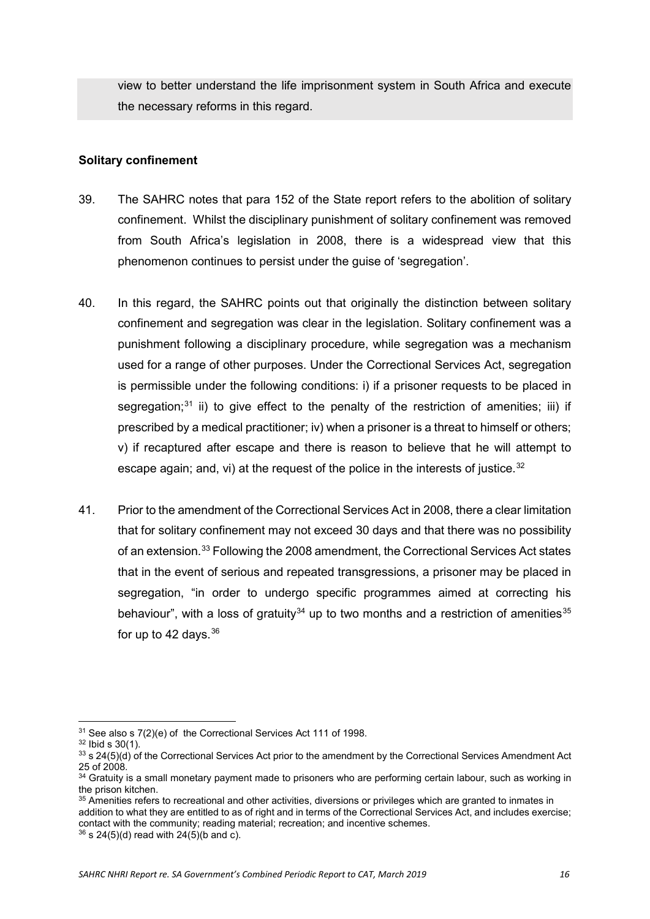<span id="page-15-0"></span>view to better understand the life imprisonment system in South Africa and execute the necessary reforms in this regard.

## **Solitary confinement**

- 39. The SAHRC notes that para 152 of the State report refers to the abolition of solitary confinement. Whilst the disciplinary punishment of solitary confinement was removed from South Africa's legislation in 2008, there is a widespread view that this phenomenon continues to persist under the guise of 'segregation'.
- 40. In this regard, the SAHRC points out that originally the distinction between solitary confinement and segregation was clear in the legislation. Solitary confinement was a punishment following a disciplinary procedure, while segregation was a mechanism used for a range of other purposes. Under the Correctional Services Act, segregation is permissible under the following conditions: i) if a prisoner requests to be placed in segregation;<sup>[31](#page-15-1)</sup> ii) to give effect to the penalty of the restriction of amenities; iii) if prescribed by a medical practitioner; iv) when a prisoner is a threat to himself or others; v) if recaptured after escape and there is reason to believe that he will attempt to escape again; and, vi) at the request of the police in the interests of justice. $32$
- 41. Prior to the amendment of the Correctional Services Act in 2008, there a clear limitation that for solitary confinement may not exceed 30 days and that there was no possibility of an extension.[33](#page-15-3) Following the 2008 amendment, the Correctional Services Act states that in the event of serious and repeated transgressions, a prisoner may be placed in segregation, "in order to undergo specific programmes aimed at correcting his behaviour", with a loss of gratuity<sup>[34](#page-15-4)</sup> up to two months and a restriction of amenities<sup>[35](#page-15-5)</sup> for up to 42 days.  $36$

**<sup>.</sup>** <sup>31</sup> See also s 7(2)(e) of the Correctional Services Act 111 of 1998.

<span id="page-15-2"></span><span id="page-15-1"></span> $32$  Ibid s  $30(1)$ .

<span id="page-15-3"></span><sup>33</sup> s 24(5)(d) of the Correctional Services Act prior to the amendment by the Correctional Services Amendment Act 25 of 2008.

<span id="page-15-4"></span> $34$  Gratuity is a small monetary payment made to prisoners who are performing certain labour, such as working in the prison kitchen.

<span id="page-15-5"></span><sup>&</sup>lt;sup>35</sup> Amenities refers to recreational and other activities, diversions or privileges which are granted to inmates in addition to what they are entitled to as of right and in terms of the Correctional Services Act, and includes exercise; contact with the community; reading material; recreation; and incentive schemes.  $36 \text{ s } 24(5)(d)$  read with 24(5)(b and c).

<span id="page-15-6"></span>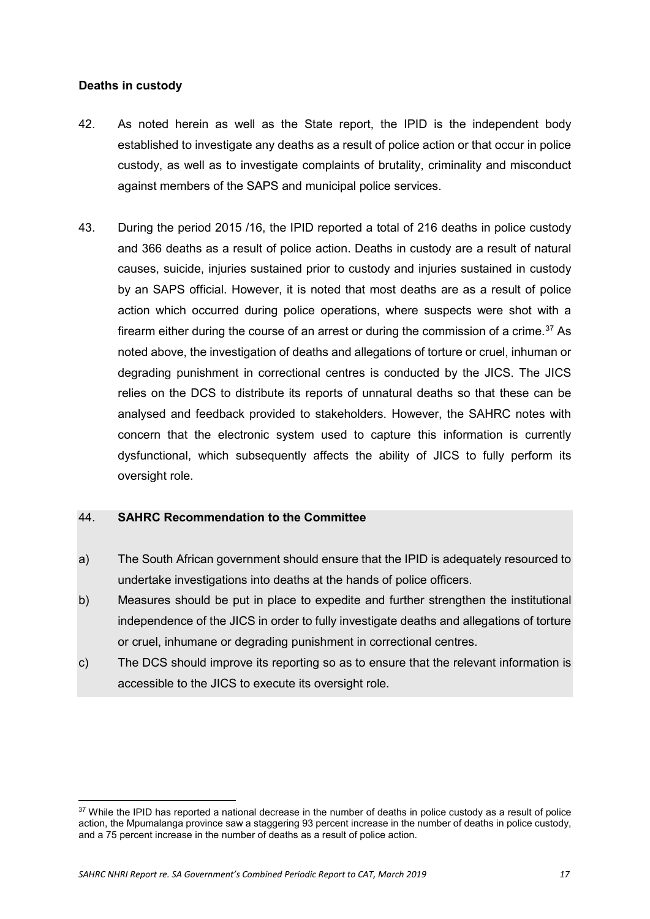## <span id="page-16-0"></span>**Deaths in custody**

- 42. As noted herein as well as the State report, the IPID is the independent body established to investigate any deaths as a result of police action or that occur in police custody, as well as to investigate complaints of brutality, criminality and misconduct against members of the SAPS and municipal police services.
- 43. During the period 2015 /16, the IPID reported a total of 216 deaths in police custody and 366 deaths as a result of police action. Deaths in custody are a result of natural causes, suicide, injuries sustained prior to custody and injuries sustained in custody by an SAPS official. However, it is noted that most deaths are as a result of police action which occurred during police operations, where suspects were shot with a firearm either during the course of an arrest or during the commission of a crime.<sup>[37](#page-16-2)</sup> As noted above, the investigation of deaths and allegations of torture or cruel, inhuman or degrading punishment in correctional centres is conducted by the JICS. The JICS relies on the DCS to distribute its reports of unnatural deaths so that these can be analysed and feedback provided to stakeholders. However, the SAHRC notes with concern that the electronic system used to capture this information is currently dysfunctional, which subsequently affects the ability of JICS to fully perform its oversight role.

## <span id="page-16-1"></span>44. **SAHRC Recommendation to the Committee**

- a) The South African government should ensure that the IPID is adequately resourced to undertake investigations into deaths at the hands of police officers.
- b) Measures should be put in place to expedite and further strengthen the institutional independence of the JICS in order to fully investigate deaths and allegations of torture or cruel, inhumane or degrading punishment in correctional centres.
- c) The DCS should improve its reporting so as to ensure that the relevant information is accessible to the JICS to execute its oversight role.

**.** 

<span id="page-16-2"></span><sup>&</sup>lt;sup>37</sup> While the IPID has reported a national decrease in the number of deaths in police custody as a result of police action, the Mpumalanga province saw a staggering 93 percent increase in the number of deaths in police custody, and a 75 percent increase in the number of deaths as a result of police action.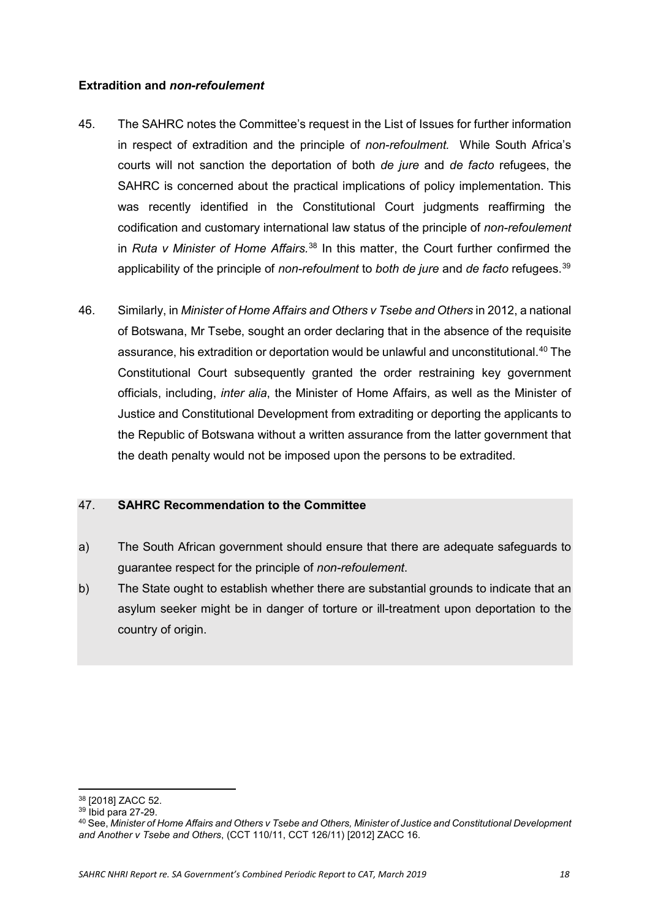## <span id="page-17-0"></span>**Extradition and** *non-refoulement*

- 45. The SAHRC notes the Committee's request in the List of Issues for further information in respect of extradition and the principle of *non-refoulment.* While South Africa's courts will not sanction the deportation of both *de jure* and *de facto* refugees, the SAHRC is concerned about the practical implications of policy implementation. This was recently identified in the Constitutional Court judgments reaffirming the codification and customary international law status of the principle of *non-refoulement* in *Ruta v Minister of Home Affairs.*[38](#page-17-2) In this matter, the Court further confirmed the applicability of the principle of *non-refoulment* to *both de jure* and *de facto* refugees.<sup>[39](#page-17-3)</sup>
- 46. Similarly, in *Minister of Home Affairs and Others v Tsebe and Others* in 2012, a national of Botswana, Mr Tsebe, sought an order declaring that in the absence of the requisite assurance, his extradition or deportation would be unlawful and unconstitutional.<sup>[40](#page-17-4)</sup> The Constitutional Court subsequently granted the order restraining key government officials, including, *inter alia*, the Minister of Home Affairs, as well as the Minister of Justice and Constitutional Development from extraditing or deporting the applicants to the Republic of Botswana without a written assurance from the latter government that the death penalty would not be imposed upon the persons to be extradited.

## <span id="page-17-1"></span>47. **SAHRC Recommendation to the Committee**

- a) The South African government should ensure that there are adequate safeguards to guarantee respect for the principle of *non-refoulement*.
- b) The State ought to establish whether there are substantial grounds to indicate that an asylum seeker might be in danger of torture or ill-treatment upon deportation to the country of origin.

<span id="page-17-2"></span> $\overline{a}$ <sup>38</sup> [\[2018\] ZACC 52.](http://www.saflii.org/cgi-bin/LawCite?cit=%5b2018%5d%20ZACC%2052) 39 Ibid para 27-29.

<span id="page-17-4"></span><span id="page-17-3"></span><sup>40</sup> See, *Minister of Home Affairs and Others v Tsebe and Others, Minister of Justice and Constitutional Development and Another v Tsebe and Others*, (CCT 110/11, CCT 126/11) [2012] ZACC 16.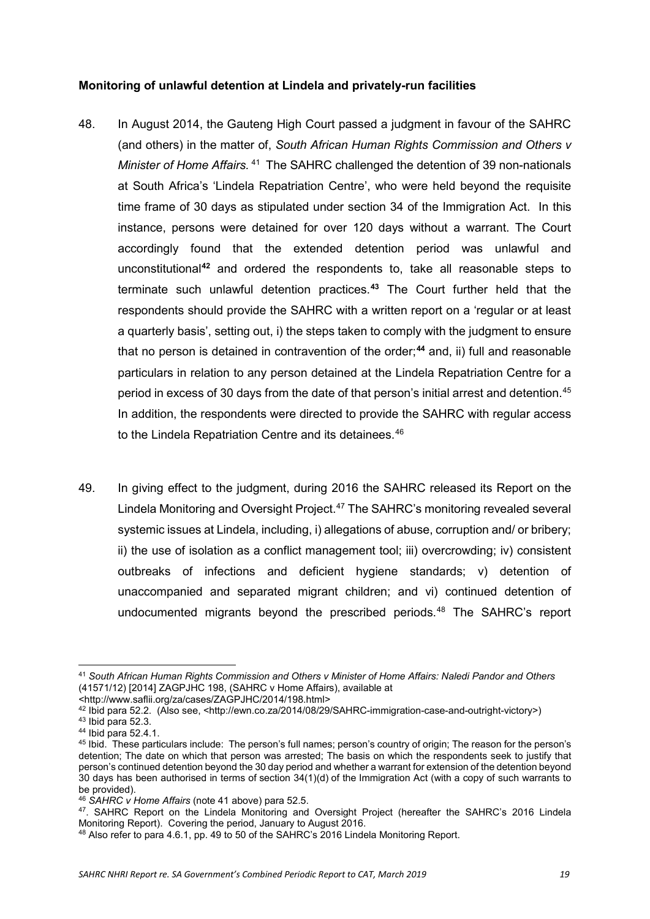## <span id="page-18-0"></span>**Monitoring of unlawful detention at Lindela and privately-run facilities**

- 48. In August 2014, the Gauteng High Court passed a judgment in favour of the SAHRC (and others) in the matter of, *South African Human Rights Commission and Others v Minister of Home Affairs.* [41](#page-18-1) The SAHRC challenged the detention of 39 non-nationals at South Africa's 'Lindela Repatriation Centre', who were held beyond the requisite time frame of 30 days as stipulated under section 34 of the Immigration Act. In this instance, persons were detained for over 120 days without a warrant. The Court accordingly found that the extended detention period was unlawful and unconstitutional**[42](#page-18-2)** and ordered the respondents to, take all reasonable steps to terminate such unlawful detention practices.**[43](#page-18-3)** The Court further held that the respondents should provide the SAHRC with a written report on a 'regular or at least a quarterly basis', setting out, i) the steps taken to comply with the judgment to ensure that no person is detained in contravention of the order;**[44](#page-18-4)** and, ii) full and reasonable particulars in relation to any person detained at the Lindela Repatriation Centre for a period in excess of 30 days from the date of that person's initial arrest and detention.<sup>[45](#page-18-5)</sup> In addition, the respondents were directed to provide the SAHRC with regular access to the Lindela Repatriation Centre and its detainees.<sup>46</sup>
- 49. In giving effect to the judgment, during 2016 the SAHRC released its Report on the Lindela Monitoring and Oversight Project.<sup>[47](#page-18-7)</sup> The SAHRC's monitoring revealed several systemic issues at Lindela, including, i) allegations of abuse, corruption and/ or bribery; ii) the use of isolation as a conflict management tool; iii) overcrowding; iv) consistent outbreaks of infections and deficient hygiene standards; v) detention of unaccompanied and separated migrant children; and vi) continued detention of undocumented migrants beyond the prescribed periods.<sup>[48](#page-18-8)</sup> The SAHRC's report

 $\overline{a}$ 

<span id="page-18-1"></span><sup>41</sup> *South African Human Rights Commission and Others v Minister of Home Affairs: Naledi Pandor and Others* (41571/12) [2014] ZAGPJHC 198, (SAHRC v Home Affairs), available at

<sup>&</sup>lt;http://www.saflii.org/za/cases/ZAGPJHC/2014/198.html>

<span id="page-18-2"></span> $^{42}$  Ibid para 52.2. (Also see, <http://ewn.co.za/2014/08/29/SAHRC-immigration-case-and-outright-victory>)<br> $^{43}$  Ibid para 52.3.

<span id="page-18-5"></span><span id="page-18-4"></span><span id="page-18-3"></span><sup>&</sup>lt;sup>44</sup> Ibid para 52.4.1.<br><sup>45</sup> Ibid. These particulars include: The person's full names; person's country of origin; The reason for the person's detention; The date on which that person was arrested; The basis on which the respondents seek to justify that person's continued detention beyond the 30 day period and whether a warrant for extension of the detention beyond 30 days has been authorised in terms of [section 34\(1\)\(d\)](http://www.saflii.org/za/legis/consol_act/ia2002138/index.html#s34) of the [Immigration Act \(with](http://www.saflii.org/za/legis/consol_act/ia2002138/) a copy of such warrants to be provided).

<span id="page-18-6"></span><sup>46</sup> *SAHRC v Home Affairs* (note 41 above) para 52.5.

<span id="page-18-7"></span><sup>47.</sup> SAHRC Report on the Lindela Monitoring and Oversight Project (hereafter the SAHRC's 2016 Lindela Monitoring Report). Covering the period, January to August 2016.

<span id="page-18-8"></span><sup>48</sup> Also refer to para 4.6.1, pp. 49 to 50 of the SAHRC's 2016 Lindela Monitoring Report.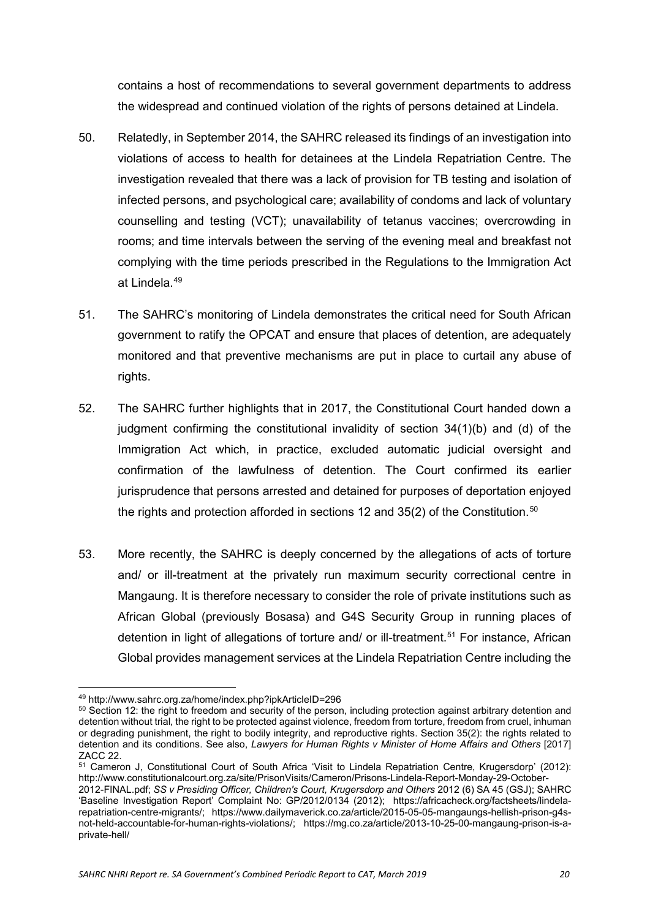contains a host of recommendations to several government departments to address the widespread and continued violation of the rights of persons detained at Lindela.

- 50. Relatedly, in September 2014, the SAHRC released its findings of an investigation into violations of access to health for detainees at the Lindela Repatriation Centre. The investigation revealed that there was a lack of provision for TB testing and isolation of infected persons, and psychological care; availability of condoms and lack of voluntary counselling and testing (VCT); unavailability of tetanus vaccines; overcrowding in rooms; and time intervals between the serving of the evening meal and breakfast not complying with the time periods prescribed in the Regulations to the Immigration Act at Lindela.[49](#page-19-0)
- 51. The SAHRC's monitoring of Lindela demonstrates the critical need for South African government to ratify the OPCAT and ensure that places of detention, are adequately monitored and that preventive mechanisms are put in place to curtail any abuse of rights.
- 52. The SAHRC further highlights that in 2017, the Constitutional Court handed down a judgment confirming the constitutional invalidity of section 34(1)(b) and (d) of the Immigration Act which, in practice, excluded automatic judicial oversight and confirmation of the lawfulness of detention. The Court confirmed its earlier jurisprudence that persons arrested and detained for purposes of deportation enjoyed the rights and protection afforded in sections 12 and  $35(2)$  of the Constitution.<sup>[50](#page-19-1)</sup>
- 53. More recently, the SAHRC is deeply concerned by the allegations of acts of torture and/ or ill-treatment at the privately run maximum security correctional centre in Mangaung. It is therefore necessary to consider the role of private institutions such as African Global (previously Bosasa) and G4S Security Group in running places of detention in light of allegations of torture and/ or ill-treatment.<sup>[51](#page-19-2)</sup> For instance, African Global provides management services at the Lindela Repatriation Centre including the

**<sup>.</sup>** <sup>49</sup> http://www.sahrc.org.za/home/index.php?ipkArticleID=296

<span id="page-19-1"></span><span id="page-19-0"></span><sup>&</sup>lt;sup>50</sup> Section 12: the right to freedom and security of the person, including protection against arbitrary detention and detention without trial, the right to be protected against violence, freedom from torture, freedom from cruel, inhuman or degrading punishment, the right to bodily integrity, and reproductive rights. Section 35(2): the rights related to detention and its conditions. See also, *Lawyers for Human Rights v Minister of Home Affairs and Others* [\[2017\]](http://saflii.org/cgi-bin/LawCite?cit=%5b2017%5d%20ZACC%2022) ZACC 22.

<span id="page-19-2"></span><sup>&</sup>lt;sup>51</sup> Cameron J, Constitutional Court of South Africa 'Visit to Lindela Repatriation Centre, Krugersdorp' (2012): [http://www.constitutionalcourt.org.za/site/PrisonVisits/Cameron/Prisons-Lindela-Report-Monday-29-October-](http://www.constitutionalcourt.org.za/site/PrisonVisits/Cameron/Prisons-Lindela-Report-Monday-29-October-2012-FINAL.pdf)

[<sup>2012-</sup>FINAL.pdf;](http://www.constitutionalcourt.org.za/site/PrisonVisits/Cameron/Prisons-Lindela-Report-Monday-29-October-2012-FINAL.pdf) *SS v Presiding Officer, Children's Court, Krugersdorp and Others* 2012 (6) SA 45 (GSJ); SAHRC 'Baseline Investigation Report' Complaint No: GP/2012/0134 (2012); [https://africacheck.org/factsheets/lindela](https://africacheck.org/factsheets/lindela-repatriation-centre-migrants/)[repatriation-centre-migrants/;](https://africacheck.org/factsheets/lindela-repatriation-centre-migrants/) [https://www.dailymaverick.co.za/article/2015-05-05-mangaungs-hellish-prison-g4s](https://www.dailymaverick.co.za/article/2015-05-05-mangaungs-hellish-prison-g4s-not-held-accountable-for-human-rights-violations/)[not-held-accountable-for-human-rights-violations/;](https://www.dailymaverick.co.za/article/2015-05-05-mangaungs-hellish-prison-g4s-not-held-accountable-for-human-rights-violations/) https://mg.co.za/article/2013-10-25-00-mangaung-prison-is-aprivate-hell/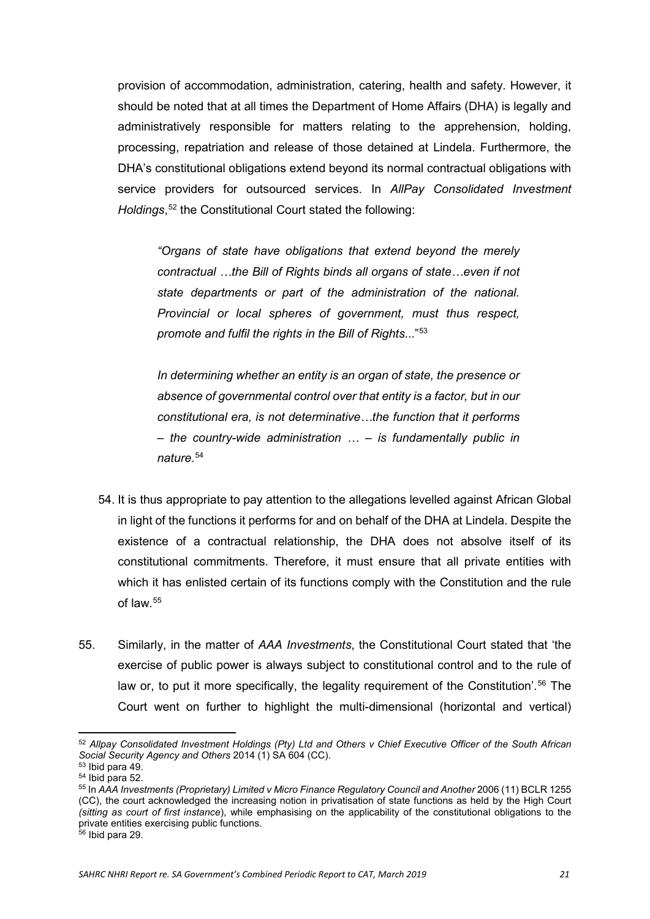provision of accommodation, administration, catering, health and safety. However, it should be noted that at all times the Department of Home Affairs (DHA) is legally and administratively responsible for matters relating to the apprehension, holding, processing, repatriation and release of those detained at Lindela. Furthermore, the DHA's constitutional obligations extend beyond its normal contractual obligations with service providers for outsourced services. In *AllPay Consolidated Investment Holdings*, [52](#page-20-0) the Constitutional Court stated the following:

*"Organs of state have obligations that extend beyond the merely contractual …the Bill of Rights binds all organs of state…even if not state departments or part of the administration of the national. Provincial or local spheres of government, must thus respect, promote and fulfil the rights in the Bill of Rights*..."[53](#page-20-1)

*In determining whether an entity is an organ of state, the presence or absence of governmental control over that entity is a factor, but in our constitutional era, is not determinative…the function that it performs – the country-wide administration … – is fundamentally public in nature*. [54](#page-20-2)

- 54. It is thus appropriate to pay attention to the allegations levelled against African Global in light of the functions it performs for and on behalf of the DHA at Lindela. Despite the existence of a contractual relationship, the DHA does not absolve itself of its constitutional commitments. Therefore, it must ensure that all private entities with which it has enlisted certain of its functions comply with the Constitution and the rule of law.[55](#page-20-3)
- 55. Similarly, in the matter of *AAA Investments*, the Constitutional Court stated that 'the exercise of public power is always subject to constitutional control and to the rule of law or, to put it more specifically, the legality requirement of the Constitution'.<sup>[56](#page-20-4)</sup> The Court went on further to highlight the multi-dimensional (horizontal and vertical)

 $\overline{a}$ 

<span id="page-20-0"></span><sup>52</sup> *Allpay Consolidated Investment Holdings (Pty) Ltd and Others v Chief Executive Officer of the South African Social Security Agency and Others* 2014 (1) SA 604 (CC).

<span id="page-20-2"></span><span id="page-20-1"></span> $54$  Ibid para 52.

<span id="page-20-3"></span><sup>55</sup> In *AAA Investments (Proprietary) Limited v Micro Finance Regulatory Council and Another* 2006 (11) BCLR 1255 (CC), the court acknowledged the increasing notion in privatisation of state functions as held by the High Court *(sitting as court of first instance*), while emphasising on the applicability of the constitutional obligations to the private entities exercising public functions.

<span id="page-20-4"></span><sup>56</sup> Ibid para 29.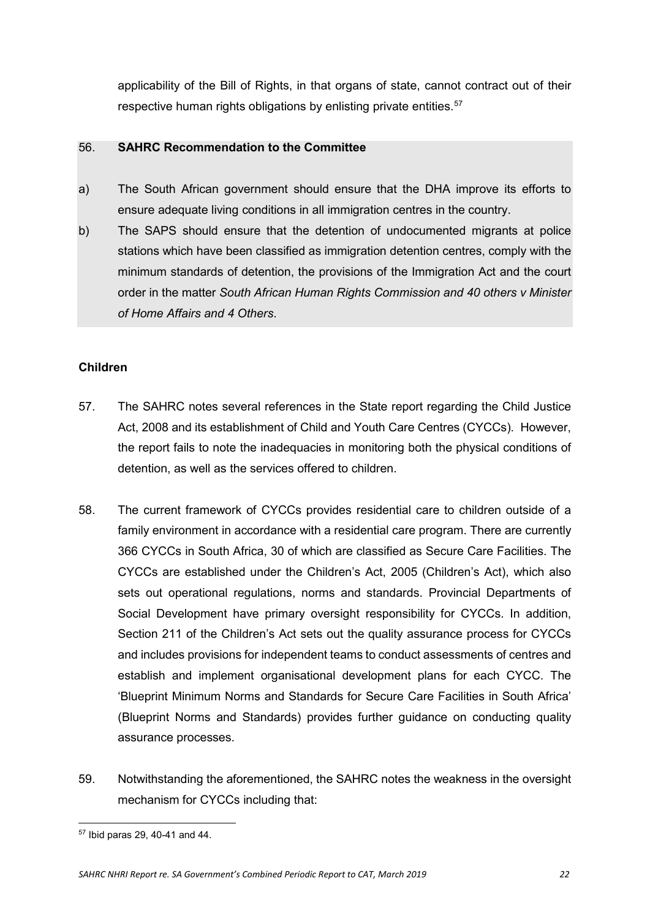<span id="page-21-0"></span>applicability of the Bill of Rights, in that organs of state, cannot contract out of their respective human rights obligations by enlisting private entities.<sup>[57](#page-21-2)</sup>

#### 56. **SAHRC Recommendation to the Committee**

- a) The South African government should ensure that the DHA improve its efforts to ensure adequate living conditions in all immigration centres in the country.
- b) The SAPS should ensure that the detention of undocumented migrants at police stations which have been classified as immigration detention centres, comply with the minimum standards of detention, the provisions of the Immigration Act and the court order in the matter *South African Human Rights Commission and 40 others v Minister of Home Affairs and 4 Others*.

## <span id="page-21-1"></span>**Children**

- 57. The SAHRC notes several references in the State report regarding the Child Justice Act, 2008 and its establishment of Child and Youth Care Centres (CYCCs). However, the report fails to note the inadequacies in monitoring both the physical conditions of detention, as well as the services offered to children.
- 58. The current framework of CYCCs provides residential care to children outside of a family environment in accordance with a residential care program. There are currently 366 CYCCs in South Africa, 30 of which are classified as Secure Care Facilities. The CYCCs are established under the Children's Act, 2005 (Children's Act), which also sets out operational regulations, norms and standards. Provincial Departments of Social Development have primary oversight responsibility for CYCCs. In addition, Section 211 of the Children's Act sets out the quality assurance process for CYCCs and includes provisions for independent teams to conduct assessments of centres and establish and implement organisational development plans for each CYCC. The 'Blueprint Minimum Norms and Standards for Secure Care Facilities in South Africa' (Blueprint Norms and Standards) provides further guidance on conducting quality assurance processes.
- 59. Notwithstanding the aforementioned, the SAHRC notes the weakness in the oversight mechanism for CYCCs including that:

<span id="page-21-2"></span><sup>&</sup>lt;u>.</u> <sup>57</sup> Ibid paras 29, 40-41 and 44.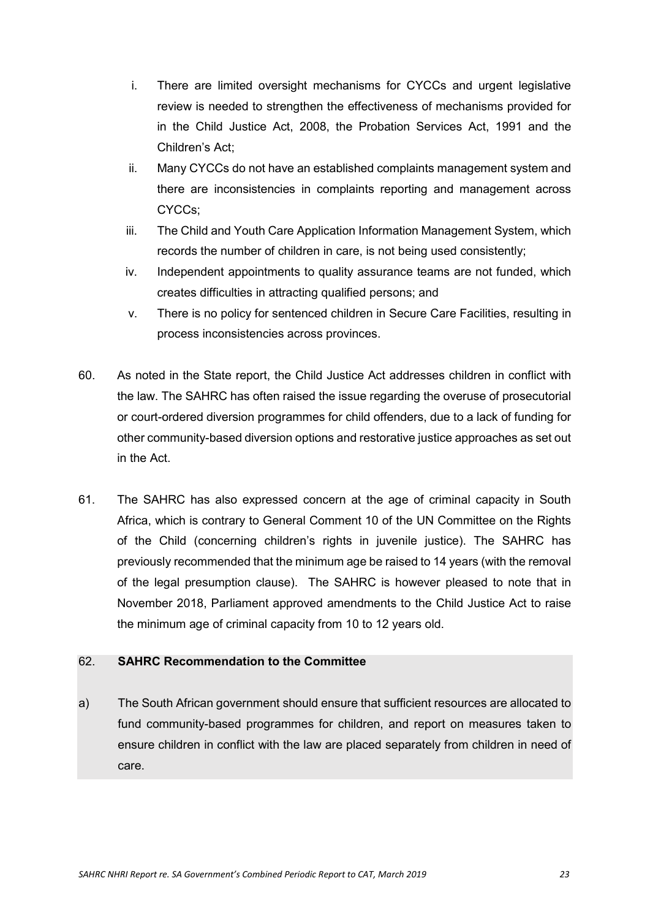- i. There are limited oversight mechanisms for CYCCs and urgent legislative review is needed to strengthen the effectiveness of mechanisms provided for in the Child Justice Act, 2008, the Probation Services Act, 1991 and the Children's Act;
- ii. Many CYCCs do not have an established complaints management system and there are inconsistencies in complaints reporting and management across CYCCs;
- iii. The Child and Youth Care Application Information Management System, which records the number of children in care, is not being used consistently;
- iv. Independent appointments to quality assurance teams are not funded, which creates difficulties in attracting qualified persons; and
- v. There is no policy for sentenced children in Secure Care Facilities, resulting in process inconsistencies across provinces.
- 60. As noted in the State report, the Child Justice Act addresses children in conflict with the law. The SAHRC has often raised the issue regarding the overuse of prosecutorial or court-ordered diversion programmes for child offenders, due to a lack of funding for other community-based diversion options and restorative justice approaches as set out in the Act.
- 61. The SAHRC has also expressed concern at the age of criminal capacity in South Africa, which is contrary to General Comment 10 of the UN Committee on the Rights of the Child (concerning children's rights in juvenile justice). The SAHRC has previously recommended that the minimum age be raised to 14 years (with the removal of the legal presumption clause). The SAHRC is however pleased to note that in November 2018, Parliament approved amendments to the Child Justice Act to raise the minimum age of criminal capacity from 10 to 12 years old.

<span id="page-22-0"></span>a) The South African government should ensure that sufficient resources are allocated to fund community-based programmes for children, and report on measures taken to ensure children in conflict with the law are placed separately from children in need of care.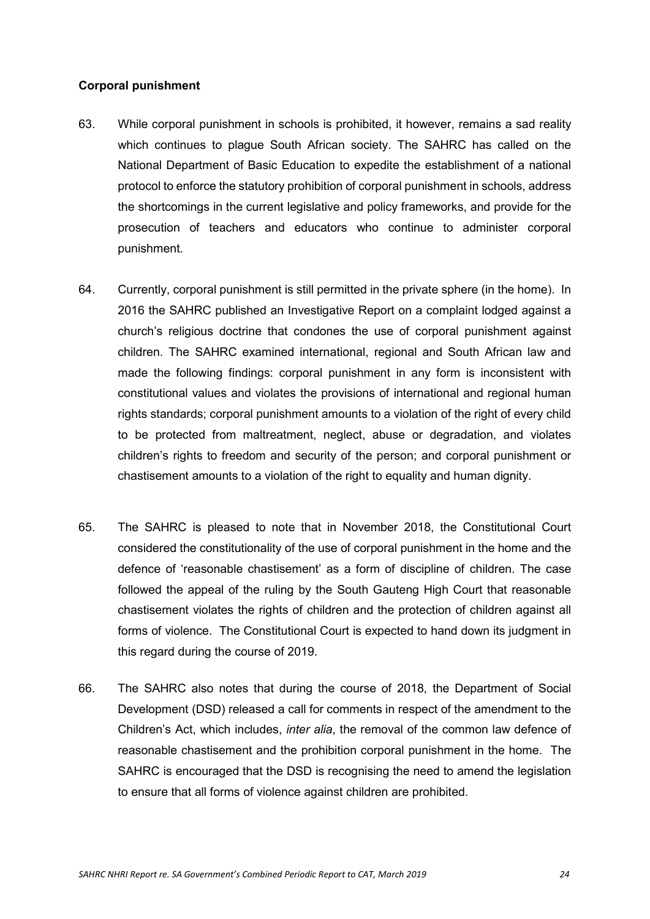## <span id="page-23-0"></span>**Corporal punishment**

- 63. While corporal punishment in schools is prohibited, it however, remains a sad reality which continues to plague South African society. The SAHRC has called on the National Department of Basic Education to expedite the establishment of a national protocol to enforce the statutory prohibition of corporal punishment in schools, address the shortcomings in the current legislative and policy frameworks, and provide for the prosecution of teachers and educators who continue to administer corporal punishment.
- 64. Currently, corporal punishment is still permitted in the private sphere (in the home). In 2016 the SAHRC published an Investigative Report on a complaint lodged against a church's religious doctrine that condones the use of corporal punishment against children. The SAHRC examined international, regional and South African law and made the following findings: corporal punishment in any form is inconsistent with constitutional values and violates the provisions of international and regional human rights standards; corporal punishment amounts to a violation of the right of every child to be protected from maltreatment, neglect, abuse or degradation, and violates children's rights to freedom and security of the person; and corporal punishment or chastisement amounts to a violation of the right to equality and human dignity.
- 65. The SAHRC is pleased to note that in November 2018, the Constitutional Court considered the constitutionality of the use of corporal punishment in the home and the defence of 'reasonable chastisement' as a form of discipline of children. The case followed the appeal of the ruling by the South Gauteng High Court that reasonable chastisement violates the rights of children and the protection of children against all forms of violence. The Constitutional Court is expected to hand down its judgment in this regard during the course of 2019.
- 66. The SAHRC also notes that during the course of 2018, the Department of Social Development (DSD) released a call for comments in respect of the amendment to the Children's Act, which includes, *inter alia*, the removal of the common law defence of reasonable chastisement and the prohibition corporal punishment in the home. The SAHRC is encouraged that the DSD is recognising the need to amend the legislation to ensure that all forms of violence against children are prohibited.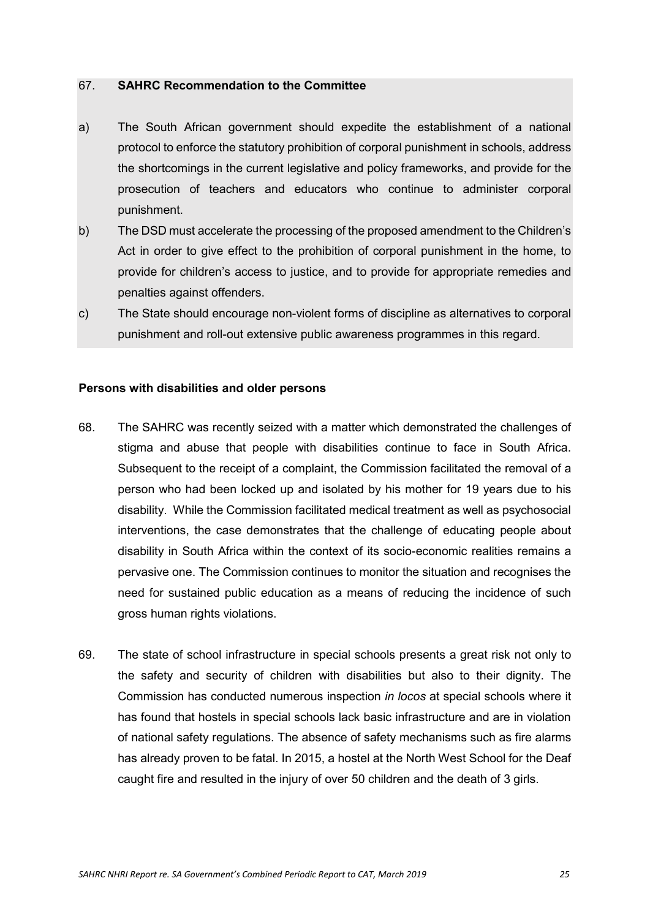- <span id="page-24-0"></span>a) The South African government should expedite the establishment of a national protocol to enforce the statutory prohibition of corporal punishment in schools, address the shortcomings in the current legislative and policy frameworks, and provide for the prosecution of teachers and educators who continue to administer corporal punishment.
- b) The DSD must accelerate the processing of the proposed amendment to the Children's Act in order to give effect to the prohibition of corporal punishment in the home, to provide for children's access to justice, and to provide for appropriate remedies and penalties against offenders.
- <span id="page-24-1"></span>c) The State should encourage non-violent forms of discipline as alternatives to corporal punishment and roll-out extensive public awareness programmes in this regard.

#### **Persons with disabilities and older persons**

- 68. The SAHRC was recently seized with a matter which demonstrated the challenges of stigma and abuse that people with disabilities continue to face in South Africa. Subsequent to the receipt of a complaint, the Commission facilitated the removal of a person who had been locked up and isolated by his mother for 19 years due to his disability. While the Commission facilitated medical treatment as well as psychosocial interventions, the case demonstrates that the challenge of educating people about disability in South Africa within the context of its socio-economic realities remains a pervasive one. The Commission continues to monitor the situation and recognises the need for sustained public education as a means of reducing the incidence of such gross human rights violations.
- 69. The state of school infrastructure in special schools presents a great risk not only to the safety and security of children with disabilities but also to their dignity. The Commission has conducted numerous inspection *in locos* at special schools where it has found that hostels in special schools lack basic infrastructure and are in violation of national safety regulations. The absence of safety mechanisms such as fire alarms has already proven to be fatal. In 2015, a hostel at the North West School for the Deaf caught fire and resulted in the injury of over 50 children and the death of 3 girls.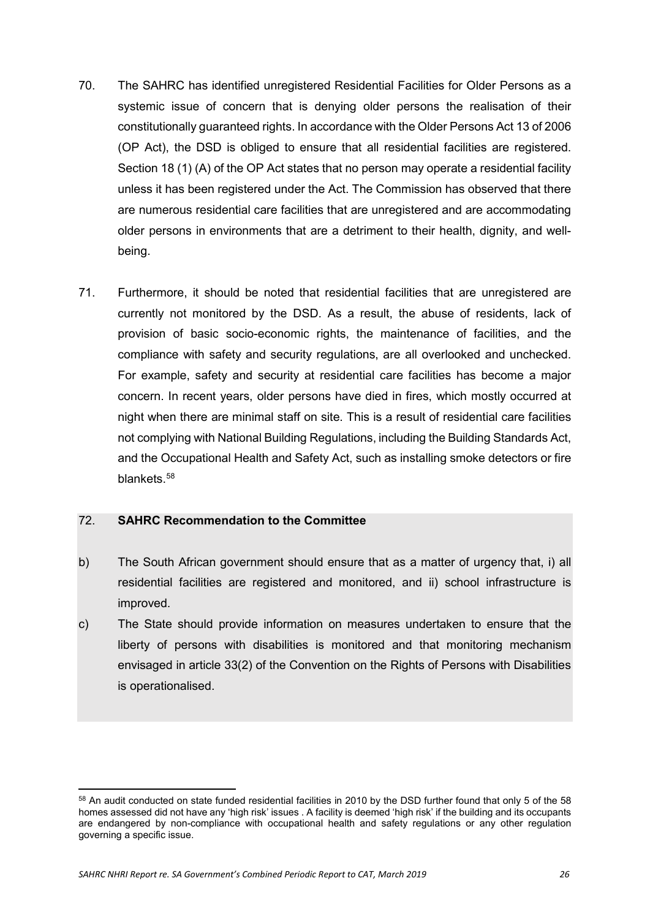- 70. The SAHRC has identified unregistered Residential Facilities for Older Persons as a systemic issue of concern that is denying older persons the realisation of their constitutionally guaranteed rights. In accordance with the Older Persons Act 13 of 2006 (OP Act), the DSD is obliged to ensure that all residential facilities are registered. Section 18 (1) (A) of the OP Act states that no person may operate a residential facility unless it has been registered under the Act. The Commission has observed that there are numerous residential care facilities that are unregistered and are accommodating older persons in environments that are a detriment to their health, dignity, and wellbeing.
- 71. Furthermore, it should be noted that residential facilities that are unregistered are currently not monitored by the DSD. As a result, the abuse of residents, lack of provision of basic socio-economic rights, the maintenance of facilities, and the compliance with safety and security regulations, are all overlooked and unchecked. For example, safety and security at residential care facilities has become a major concern. In recent years, older persons have died in fires, which mostly occurred at night when there are minimal staff on site. This is a result of residential care facilities not complying with National Building Regulations, including the Building Standards Act, and the Occupational Health and Safety Act, such as installing smoke detectors or fire blankets.<sup>[58](#page-25-1)</sup>

- <span id="page-25-0"></span>b) The South African government should ensure that as a matter of urgency that, i) all residential facilities are registered and monitored, and ii) school infrastructure is improved.
- c) The State should provide information on measures undertaken to ensure that the liberty of persons with disabilities is monitored and that monitoring mechanism envisaged in article 33(2) of the Convention on the Rights of Persons with Disabilities is operationalised.

 $\overline{a}$ 

<span id="page-25-1"></span><sup>58</sup> An audit conducted on state funded residential facilities in 2010 by the DSD further found that only 5 of the 58 homes assessed did not have any 'high risk' issues . A facility is deemed 'high risk' if the building and its occupants are endangered by non-compliance with occupational health and safety regulations or any other regulation governing a specific issue.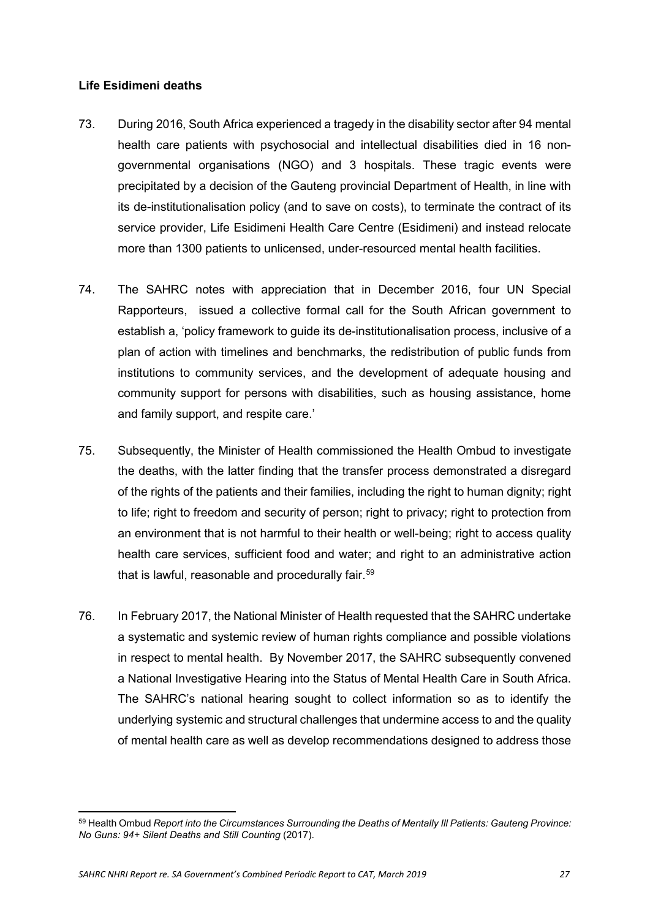#### <span id="page-26-0"></span>**Life Esidimeni deaths**

- 73. During 2016, South Africa experienced a tragedy in the disability sector after 94 mental health care patients with psychosocial and intellectual disabilities died in 16 nongovernmental organisations (NGO) and 3 hospitals. These tragic events were precipitated by a decision of the Gauteng provincial Department of Health, in line with its de-institutionalisation policy (and to save on costs), to terminate the contract of its service provider, Life Esidimeni Health Care Centre (Esidimeni) and instead relocate more than 1300 patients to unlicensed, under-resourced mental health facilities.
- 74. The SAHRC notes with appreciation that in December 2016, four UN Special Rapporteurs, issued a collective formal call for the South African government to establish a, 'policy framework to guide its de-institutionalisation process, inclusive of a plan of action with timelines and benchmarks, the redistribution of public funds from institutions to community services, and the development of adequate housing and community support for persons with disabilities, such as housing assistance, home and family support, and respite care.'
- 75. Subsequently, the Minister of Health commissioned the Health Ombud to investigate the deaths, with the latter finding that the transfer process demonstrated a disregard of the rights of the patients and their families, including the right to human dignity; right to life; right to freedom and security of person; right to privacy; right to protection from an environment that is not harmful to their health or well-being; right to access quality health care services, sufficient food and water; and right to an administrative action that is lawful, reasonable and procedurally fair.<sup>[59](#page-26-1)</sup>
- 76. In February 2017, the National Minister of Health requested that the SAHRC undertake a systematic and systemic review of human rights compliance and possible violations in respect to mental health. By November 2017, the SAHRC subsequently convened a National Investigative Hearing into the Status of Mental Health Care in South Africa. The SAHRC's national hearing sought to collect information so as to identify the underlying systemic and structural challenges that undermine access to and the quality of mental health care as well as develop recommendations designed to address those

<span id="page-26-1"></span> $\overline{a}$ <sup>59</sup> Health Ombud *Report into the Circumstances Surrounding the Deaths of Mentally Ill Patients: Gauteng Province: No Guns: 94+ Silent Deaths and Still Counting* (2017).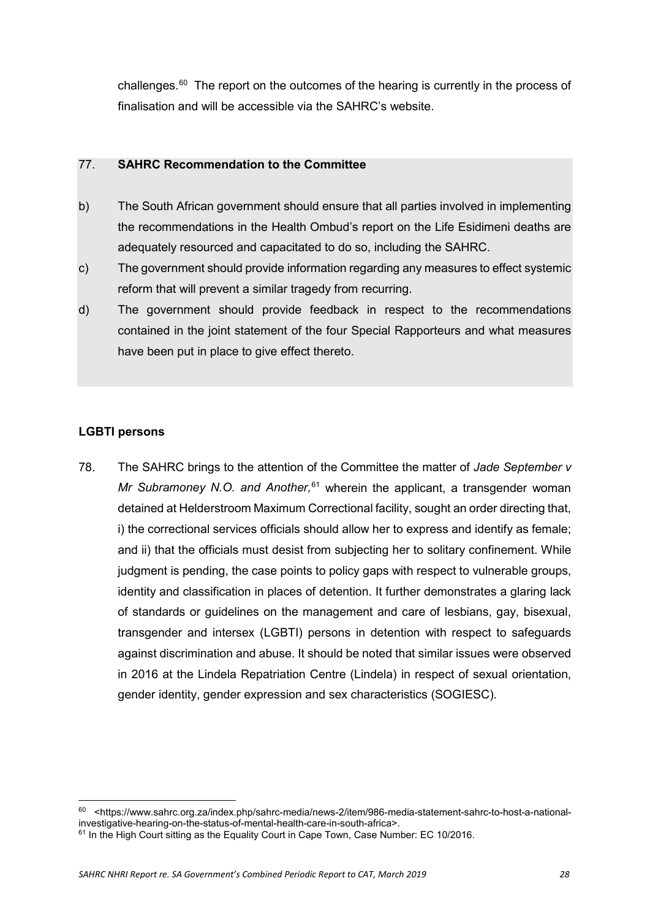<span id="page-27-0"></span>challenges. $60$  The report on the outcomes of the hearing is currently in the process of finalisation and will be accessible via the SAHRC's website.

## 77. **SAHRC Recommendation to the Committee**

- b) The South African government should ensure that all parties involved in implementing the recommendations in the Health Ombud's report on the Life Esidimeni deaths are adequately resourced and capacitated to do so, including the SAHRC.
- c) The government should provide information regarding any measures to effect systemic reform that will prevent a similar tragedy from recurring.
- d) The government should provide feedback in respect to the recommendations contained in the joint statement of the four Special Rapporteurs and what measures have been put in place to give effect thereto.

# <span id="page-27-1"></span>**LGBTI persons**

**.** 

78. The SAHRC brings to the attention of the Committee the matter of *Jade September v Mr Subramoney N.O. and Another,*[61](#page-27-3) wherein the applicant, a transgender woman detained at Helderstroom Maximum Correctional facility, sought an order directing that, i) the correctional services officials should allow her to express and identify as female; and ii) that the officials must desist from subjecting her to solitary confinement. While judgment is pending, the case points to policy gaps with respect to vulnerable groups, identity and classification in places of detention. It further demonstrates a glaring lack of standards or guidelines on the management and care of lesbians, gay, bisexual, transgender and intersex (LGBTI) persons in detention with respect to safeguards against discrimination and abuse. It should be noted that similar issues were observed in 2016 at the Lindela Repatriation Centre (Lindela) in respect of sexual orientation, gender identity, gender expression and sex characteristics (SOGIESC).

<span id="page-27-2"></span><sup>60</sup> <https://www.sahrc.org.za/index.php/sahrc-media/news-2/item/986-media-statement-sahrc-to-host-a-nationalinvestigative-hearing-on-the-status-of-mental-health-care-in-south-africa>.

<span id="page-27-3"></span> $61$  In the High Court sitting as the Equality Court in Cape Town, Case Number: EC 10/2016.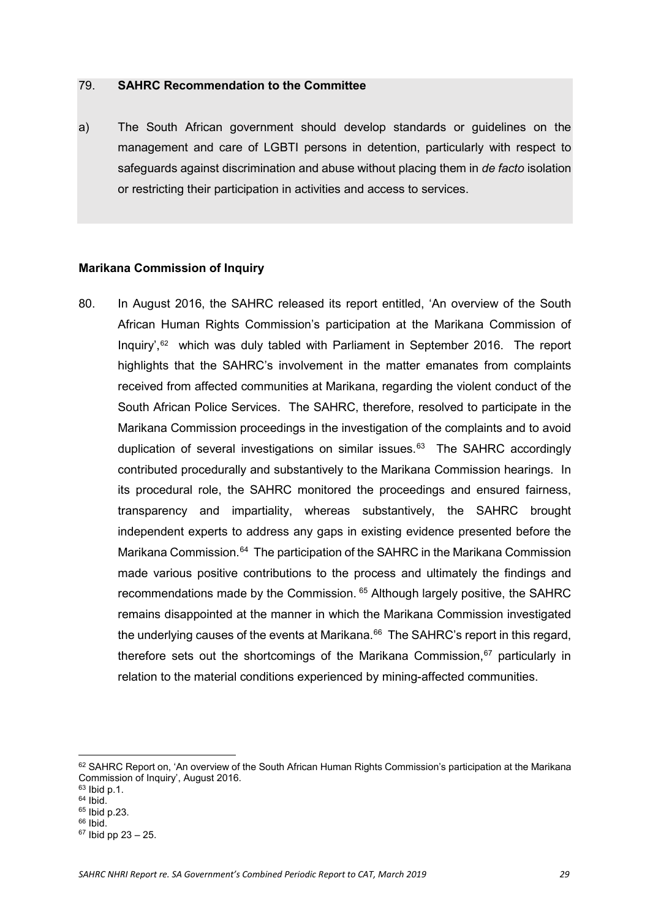<span id="page-28-0"></span>a) The South African government should develop standards or guidelines on the management and care of LGBTI persons in detention, particularly with respect to safeguards against discrimination and abuse without placing them in *de facto* isolation or restricting their participation in activities and access to services.

#### <span id="page-28-1"></span>**Marikana Commission of Inquiry**

80. In August 2016, the SAHRC released its report entitled, 'An overview of the South African Human Rights Commission's participation at the Marikana Commission of Inquiry',[62](#page-28-2) which was duly tabled with Parliament in September 2016. The report highlights that the SAHRC's involvement in the matter emanates from complaints received from affected communities at Marikana, regarding the violent conduct of the South African Police Services. The SAHRC, therefore, resolved to participate in the Marikana Commission proceedings in the investigation of the complaints and to avoid duplication of several investigations on similar issues. $63$  The SAHRC accordingly contributed procedurally and substantively to the Marikana Commission hearings. In its procedural role, the SAHRC monitored the proceedings and ensured fairness, transparency and impartiality, whereas substantively, the SAHRC brought independent experts to address any gaps in existing evidence presented before the Marikana Commission.<sup>64</sup> The participation of the SAHRC in the Marikana Commission made various positive contributions to the process and ultimately the findings and recommendations made by the Commission. <sup>[65](#page-28-5)</sup> Although largely positive, the SAHRC remains disappointed at the manner in which the Marikana Commission investigated the underlying causes of the events at Marikana. $^{66}$  $^{66}$  $^{66}$  The SAHRC's report in this regard, therefore sets out the shortcomings of the Marikana Commission,<sup>[67](#page-28-7)</sup> particularly in relation to the material conditions experienced by mining-affected communities.

 $\overline{a}$ 

<span id="page-28-2"></span> $62$  SAHRC Report on, 'An overview of the South African Human Rights Commission's participation at the Marikana Commission of Inquiry', August 2016.

<span id="page-28-3"></span> $63$  Ibid p.1.

<span id="page-28-4"></span> $64$  Ibid. <sup>65</sup> Ibid p.23.

<span id="page-28-6"></span><span id="page-28-5"></span><sup>66</sup> Ibid.

<span id="page-28-7"></span> $67$  Ibid pp 23 – 25.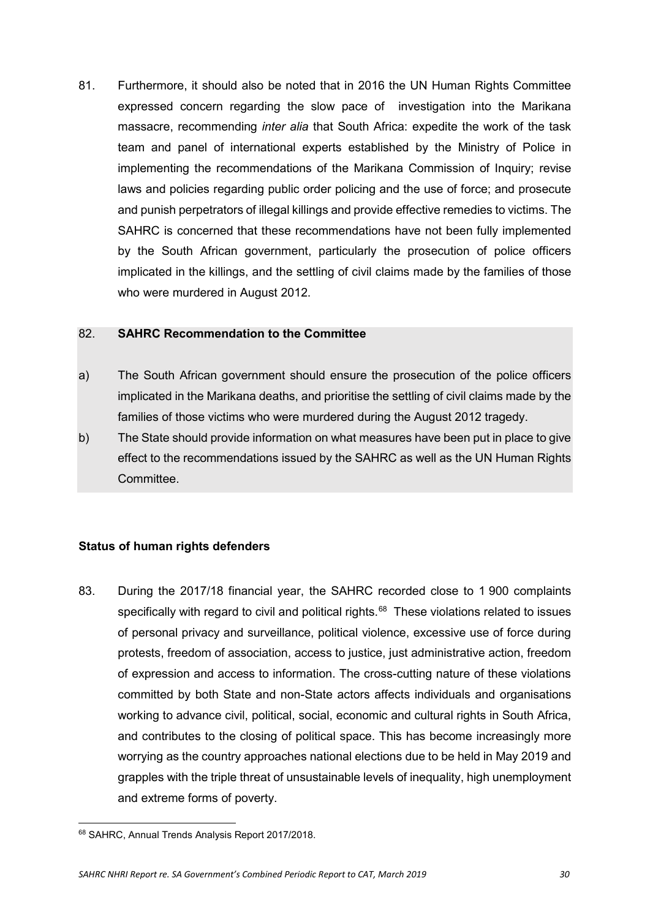81. Furthermore, it should also be noted that in 2016 the UN Human Rights Committee expressed concern regarding the slow pace of investigation into the Marikana massacre, recommending *inter alia* that South Africa: expedite the work of the task team and panel of international experts established by the Ministry of Police in implementing the recommendations of the Marikana Commission of Inquiry; revise laws and policies regarding public order policing and the use of force; and prosecute and punish perpetrators of illegal killings and provide effective remedies to victims. The SAHRC is concerned that these recommendations have not been fully implemented by the South African government, particularly the prosecution of police officers implicated in the killings, and the settling of civil claims made by the families of those who were murdered in August 2012.

#### <span id="page-29-0"></span>82. **SAHRC Recommendation to the Committee**

- a) The South African government should ensure the prosecution of the police officers implicated in the Marikana deaths, and prioritise the settling of civil claims made by the families of those victims who were murdered during the August 2012 tragedy.
- <span id="page-29-1"></span>b) The State should provide information on what measures have been put in place to give effect to the recommendations issued by the SAHRC as well as the UN Human Rights **Committee.**

## **Status of human rights defenders**

83. During the 2017/18 financial year, the SAHRC recorded close to 1 900 complaints specifically with regard to civil and political rights.<sup>68</sup> These violations related to issues of personal privacy and surveillance, political violence, excessive use of force during protests, freedom of association, access to justice, just administrative action, freedom of expression and access to information. The cross-cutting nature of these violations committed by both State and non-State actors affects individuals and organisations working to advance civil, political, social, economic and cultural rights in South Africa, and contributes to the closing of political space. This has become increasingly more worrying as the country approaches national elections due to be held in May 2019 and grapples with the triple threat of unsustainable levels of inequality, high unemployment and extreme forms of poverty.

<span id="page-29-2"></span><sup>&</sup>lt;u>.</u> <sup>68</sup> SAHRC, Annual Trends Analysis Report 2017/2018.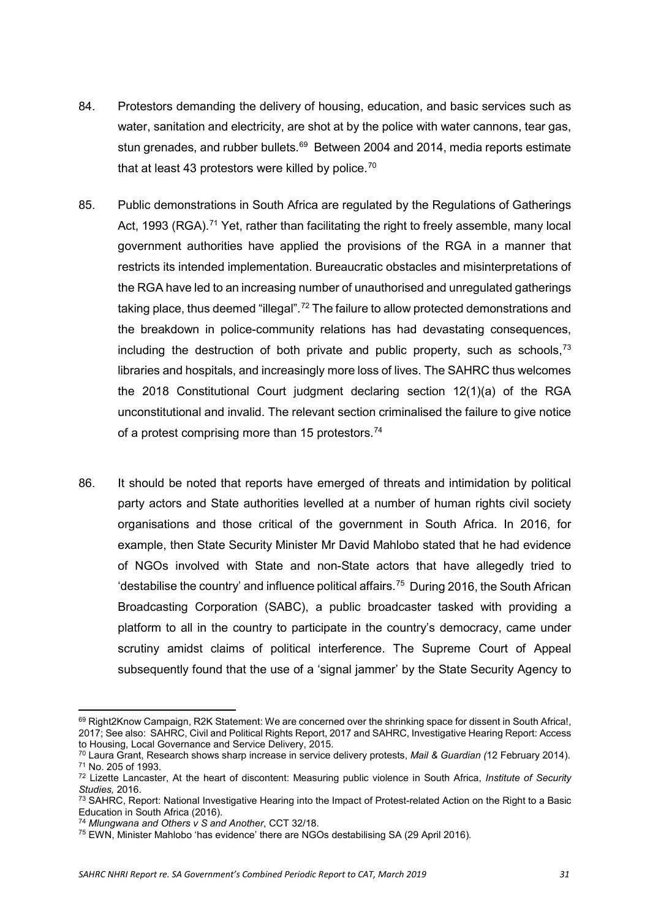- 84. Protestors demanding the delivery of housing, education, and basic services such as water, sanitation and electricity, are shot at by the police with water cannons, tear gas, stun grenades, and rubber bullets.<sup>[69](#page-30-0)</sup> Between 2004 and 2014, media reports estimate that at least 43 protestors were killed by police.<sup>70</sup>
- 85. Public demonstrations in South Africa are regulated by the Regulations of Gatherings Act, 1993 (RGA).<sup>[71](#page-30-2)</sup> Yet, rather than facilitating the right to freely assemble, many local government authorities have applied the provisions of the RGA in a manner that restricts its intended implementation. Bureaucratic obstacles and misinterpretations of the RGA have led to an increasing number of unauthorised and unregulated gatherings taking place, thus deemed "illegal".<sup>[72](#page-30-3)</sup> The failure to allow protected demonstrations and the breakdown in police-community relations has had devastating consequences, including the destruction of both private and public property, such as schools,  $73$ libraries and hospitals, and increasingly more loss of lives. The SAHRC thus welcomes the 2018 Constitutional Court judgment declaring section 12(1)(a) of the RGA unconstitutional and invalid. The relevant section criminalised the failure to give notice of a protest comprising more than 15 protestors.<sup>[74](#page-30-5)</sup>
- 86. It should be noted that reports have emerged of threats and intimidation by political party actors and State authorities levelled at a number of human rights civil society organisations and those critical of the government in South Africa. In 2016, for example, then State Security Minister Mr David Mahlobo stated that he had evidence of NGOs involved with State and non-State actors that have allegedly tried to 'destabilise the country' and influence political affairs.[75](#page-30-6) During 2016, the South African Broadcasting Corporation (SABC), a public broadcaster tasked with providing a platform to all in the country to participate in the country's democracy, came under scrutiny amidst claims of political interference. The Supreme Court of Appeal subsequently found that the use of a 'signal jammer' by the State Security Agency to

**.** 

<span id="page-30-0"></span><sup>69</sup> Right2Know Campaign, R2K Statement: We are concerned over the shrinking space for dissent in South Africa!, 2017; See also: SAHRC, Civil and Political Rights Report, 2017 and SAHRC, Investigative Hearing Report: Access to Housing, Local Governance and Service Delivery, 2015.

<span id="page-30-1"></span><sup>70</sup> Laura Grant, Research shows sharp increase in service delivery protests, *Mail & Guardian (*12 February 2014). <sup>71</sup> No. 205 of 1993.

<span id="page-30-3"></span><span id="page-30-2"></span><sup>72</sup> Lizette Lancaster, At the heart of discontent: Measuring public violence in South Africa, *Institute of Security Studies,* 2016.

<span id="page-30-4"></span><sup>&</sup>lt;sup>73</sup> SAHRC, Report: National Investigative Hearing into the Impact of Protest-related Action on the Right to a Basic Education in South Africa (2016).

<sup>74</sup> *Mlungwana and Others v S and Another*, CCT 32/18.

<span id="page-30-6"></span><span id="page-30-5"></span><sup>75</sup> EWN, Minister Mahlobo 'has evidence' there are NGOs destabilising SA (29 April 2016).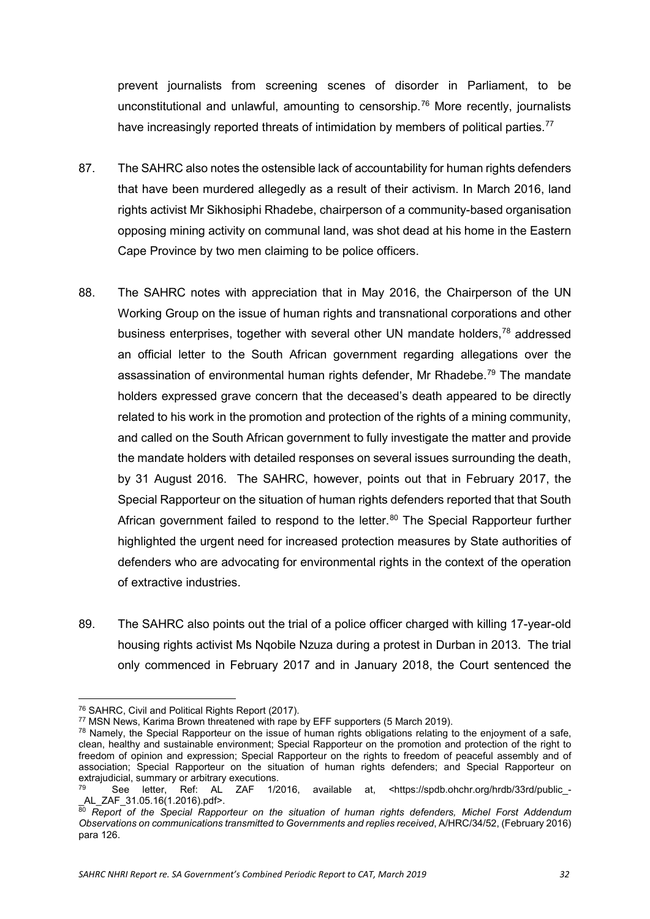prevent journalists from screening scenes of disorder in Parliament, to be unconstitutional and unlawful, amounting to censorship.<sup>[76](#page-31-0)</sup> More recently, journalists have increasingly reported threats of intimidation by members of political parties.<sup>[77](#page-31-1)</sup>

- 87. The SAHRC also notes the ostensible lack of accountability for human rights defenders that have been murdered allegedly as a result of their activism. In March 2016, land rights activist Mr Sikhosiphi Rhadebe, chairperson of a community-based organisation opposing mining activity on communal land, was shot dead at his home in the Eastern Cape Province by two men claiming to be police officers.
- 88. The SAHRC notes with appreciation that in May 2016, the Chairperson of the UN Working Group on the issue of human rights and transnational corporations and other business enterprises, together with several other UN mandate holders,[78](#page-31-2) addressed an official letter to the South African government regarding allegations over the assassination of environmental human rights defender, Mr Rhadebe.<sup>[79](#page-31-3)</sup> The mandate holders expressed grave concern that the deceased's death appeared to be directly related to his work in the promotion and protection of the rights of a mining community, and called on the South African government to fully investigate the matter and provide the mandate holders with detailed responses on several issues surrounding the death, by 31 August 2016. The SAHRC, however, points out that in February 2017, the Special Rapporteur on the situation of human rights defenders reported that that South African government failed to respond to the letter.<sup>[80](#page-31-4)</sup> The Special Rapporteur further highlighted the urgent need for increased protection measures by State authorities of defenders who are advocating for environmental rights in the context of the operation of extractive industries.
- 89. The SAHRC also points out the trial of a police officer charged with killing 17-year-old housing rights activist Ms Nqobile Nzuza during a protest in Durban in 2013. The trial only commenced in February 2017 and in January 2018, the Court sentenced the

 $\overline{a}$ 

<span id="page-31-0"></span><sup>76</sup> SAHRC, Civil and Political Rights Report (2017).

<span id="page-31-1"></span><sup>77</sup> MSN News, Karima Brown threatened with rape by EFF supporters (5 March 2019).

<span id="page-31-2"></span><sup>&</sup>lt;sup>78</sup> Namely, the Special Rapporteur on the issue of human rights obligations relating to the enjoyment of a safe, clean, healthy and sustainable environment; Special Rapporteur on the promotion and protection of the right to freedom of opinion and expression; Special Rapporteur on the rights to freedom of peaceful assembly and of association; Special Rapporteur on the situation of human rights defenders; and Special Rapporteur on extrajudicial, summary or arbitrary executions.<br><sup>79</sup> See letter, Ref: AL ZAF 1/2

<span id="page-31-3"></span><sup>&</sup>lt;sup>9</sup> See letter, Ref: AL ZAF 1/2016, available at, <https://spdb.ohchr.org/hrdb/33rd/public\_-<br><sub>-</sub>AL\_ZAF\_31.05.16(1.2016).pdf>.

<span id="page-31-4"></span> $\frac{30}{80}$  *Report* of the Special Rapporteur on the situation of human rights defenders, Michel Forst Addendum *Observations on communications transmitted to Governments and replies received*, A/HRC/34/52, (February 2016) para 126.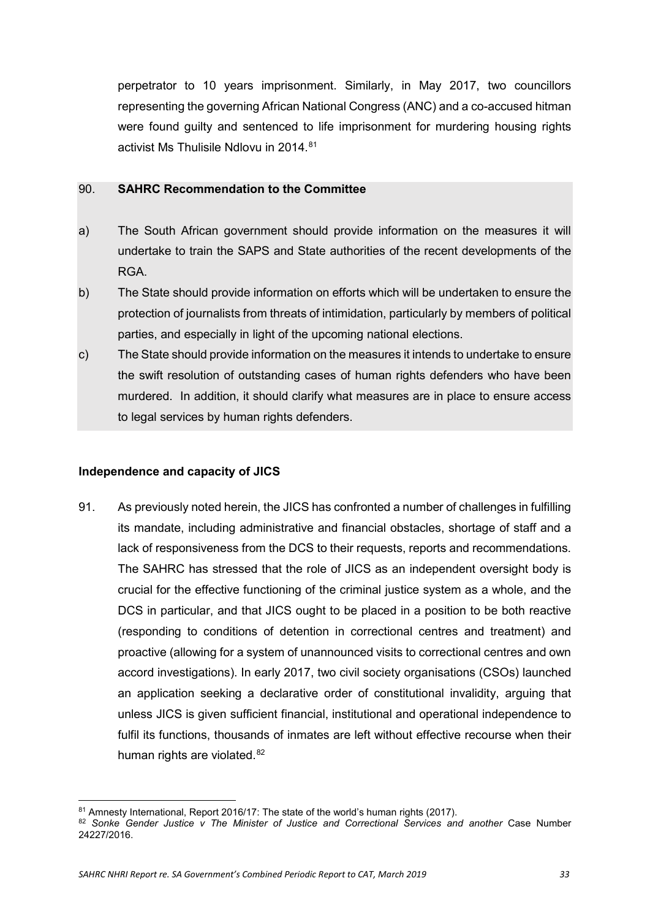perpetrator to 10 years imprisonment. Similarly, in May 2017, two councillors representing the governing African National Congress (ANC) and a co-accused hitman were found guilty and sentenced to life imprisonment for murdering housing rights activist Ms Thulisile Ndlovu in 2014.<sup>81</sup>

#### <span id="page-32-0"></span>90. **SAHRC Recommendation to the Committee**

- a) The South African government should provide information on the measures it will undertake to train the SAPS and State authorities of the recent developments of the RGA.
- b) The State should provide information on efforts which will be undertaken to ensure the protection of journalists from threats of intimidation, particularly by members of political parties, and especially in light of the upcoming national elections.
- <span id="page-32-1"></span>c) The State should provide information on the measures it intends to undertake to ensure the swift resolution of outstanding cases of human rights defenders who have been murdered. In addition, it should clarify what measures are in place to ensure access to legal services by human rights defenders.

## **Independence and capacity of JICS**

**.** 

91. As previously noted herein, the JICS has confronted a number of challenges in fulfilling its mandate, including administrative and financial obstacles, shortage of staff and a lack of responsiveness from the DCS to their requests, reports and recommendations. The SAHRC has stressed that the role of JICS as an independent oversight body is crucial for the effective functioning of the criminal justice system as a whole, and the DCS in particular, and that JICS ought to be placed in a position to be both reactive (responding to conditions of detention in correctional centres and treatment) and proactive (allowing for a system of unannounced visits to correctional centres and own accord investigations). In early 2017, two civil society organisations (CSOs) launched an application seeking a declarative order of constitutional invalidity, arguing that unless JICS is given sufficient financial, institutional and operational independence to fulfil its functions, thousands of inmates are left without effective recourse when their human rights are violated.<sup>[82](#page-32-3)</sup>

<span id="page-32-2"></span><sup>81</sup> Amnesty International, Report 2016/17: The state of the world's human rights (2017).

<span id="page-32-3"></span><sup>82</sup> *Sonke Gender Justice v The Minister of Justice and Correctional Services and another* Case Number 24227/2016.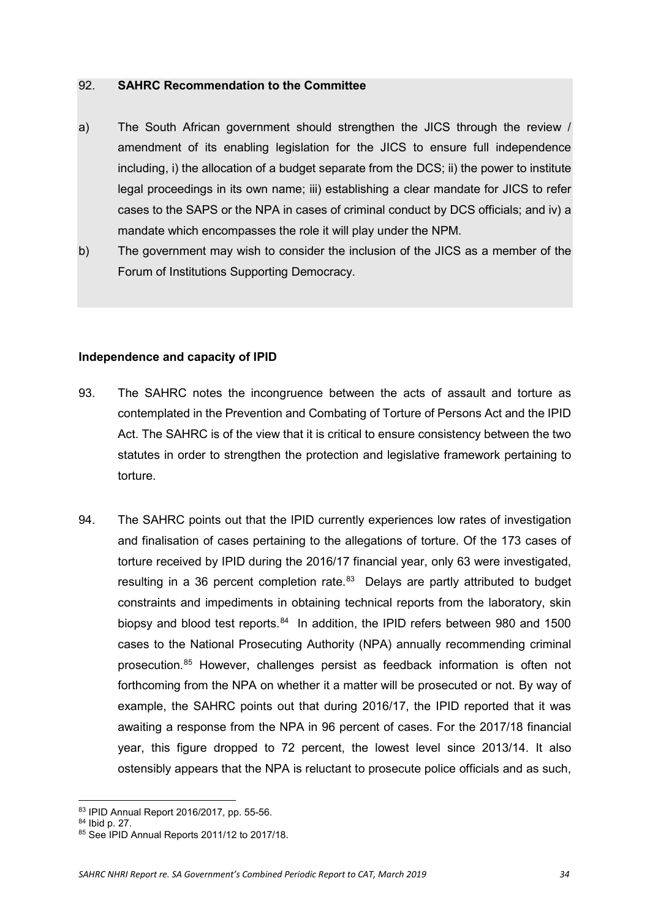- <span id="page-33-0"></span>a) The South African government should strengthen the JICS through the review / amendment of its enabling legislation for the JICS to ensure full independence including, i) the allocation of a budget separate from the DCS; ii) the power to institute legal proceedings in its own name; iii) establishing a clear mandate for JICS to refer cases to the SAPS or the NPA in cases of criminal conduct by DCS officials; and iv) a mandate which encompasses the role it will play under the NPM.
- <span id="page-33-1"></span>b) The government may wish to consider the inclusion of the JICS as a member of the Forum of Institutions Supporting Democracy.

## **Independence and capacity of IPID**

- 93. The SAHRC notes the incongruence between the acts of assault and torture as contemplated in the Prevention and Combating of Torture of Persons Act and the IPID Act. The SAHRC is of the view that it is critical to ensure consistency between the two statutes in order to strengthen the protection and legislative framework pertaining to torture.
- 94. The SAHRC points out that the IPID currently experiences low rates of investigation and finalisation of cases pertaining to the allegations of torture. Of the 173 cases of torture received by IPID during the 2016/17 financial year, only 63 were investigated, resulting in a 36 percent completion rate.<sup>[83](#page-33-2)</sup> Delays are partly attributed to budget constraints and impediments in obtaining technical reports from the laboratory, skin biopsy and blood test reports.<sup>[84](#page-33-3)</sup> In addition, the IPID refers between 980 and 1500 cases to the National Prosecuting Authority (NPA) annually recommending criminal prosecution.[85](#page-33-4) However, challenges persist as feedback information is often not forthcoming from the NPA on whether it a matter will be prosecuted or not. By way of example, the SAHRC points out that during 2016/17, the IPID reported that it was awaiting a response from the NPA in 96 percent of cases. For the 2017/18 financial year, this figure dropped to 72 percent, the lowest level since 2013/14. It also ostensibly appears that the NPA is reluctant to prosecute police officials and as such,

**<sup>.</sup>** <sup>83</sup> IPID Annual Report 2016/2017, pp. 55-56.

<span id="page-33-3"></span><span id="page-33-2"></span><sup>84</sup> Ibid p. 27.

<span id="page-33-4"></span><sup>85</sup> See IPID Annual Reports 2011/12 to 2017/18.